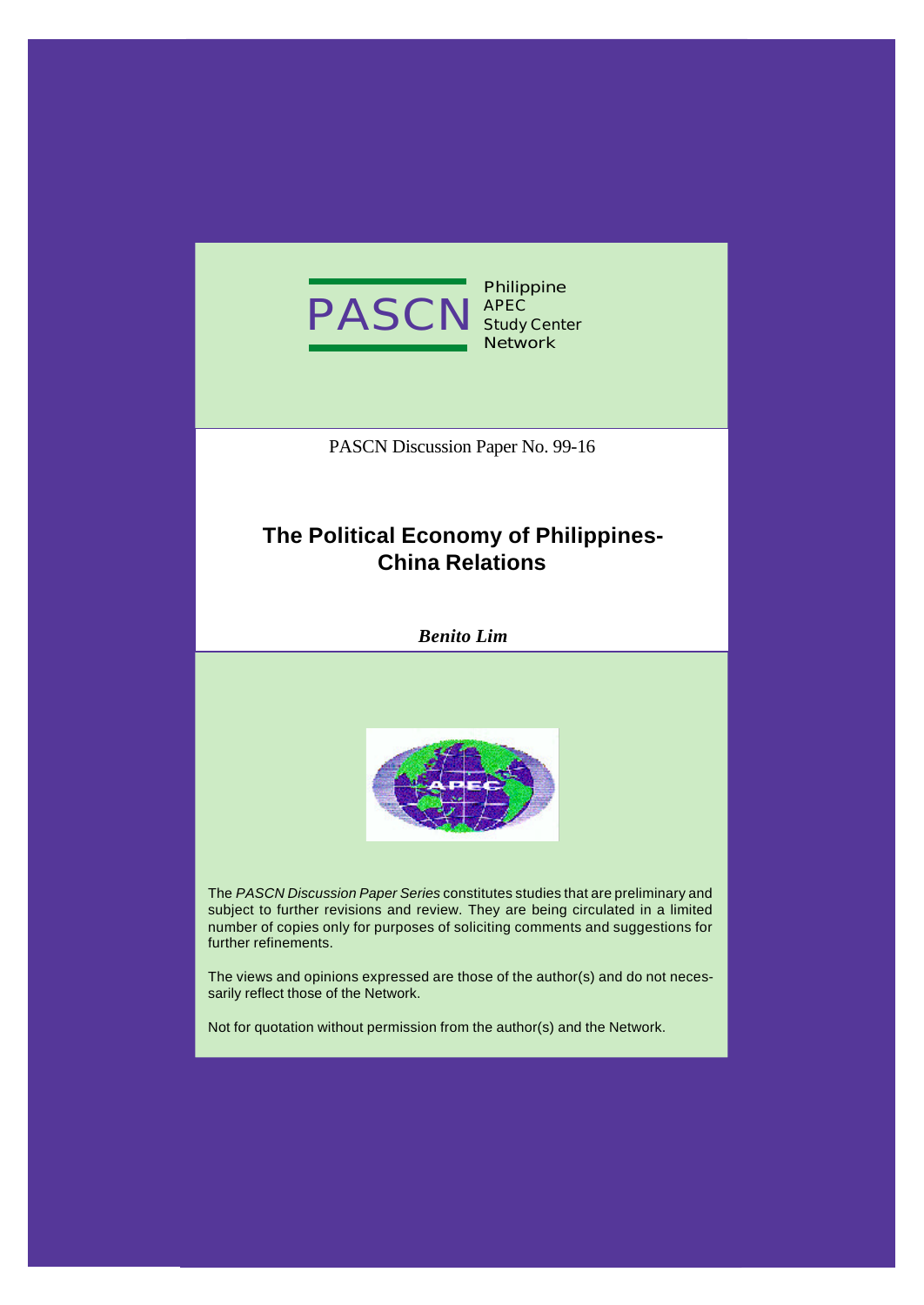

**Philippine Study Center Network**

PASCN Discussion Paper No. 99-16

# **The Political Economy of Philippines-China Relations**

*Benito Lim*



The *PASCN Discussion Paper Series* constitutes studies that are preliminary and subject to further revisions and review. They are being circulated in a limited number of copies only for purposes of soliciting comments and suggestions for further refinements.

The views and opinions expressed are those of the author(s) and do not necessarily reflect those of the Network.

Not for quotation without permission from the author(s) and the Network.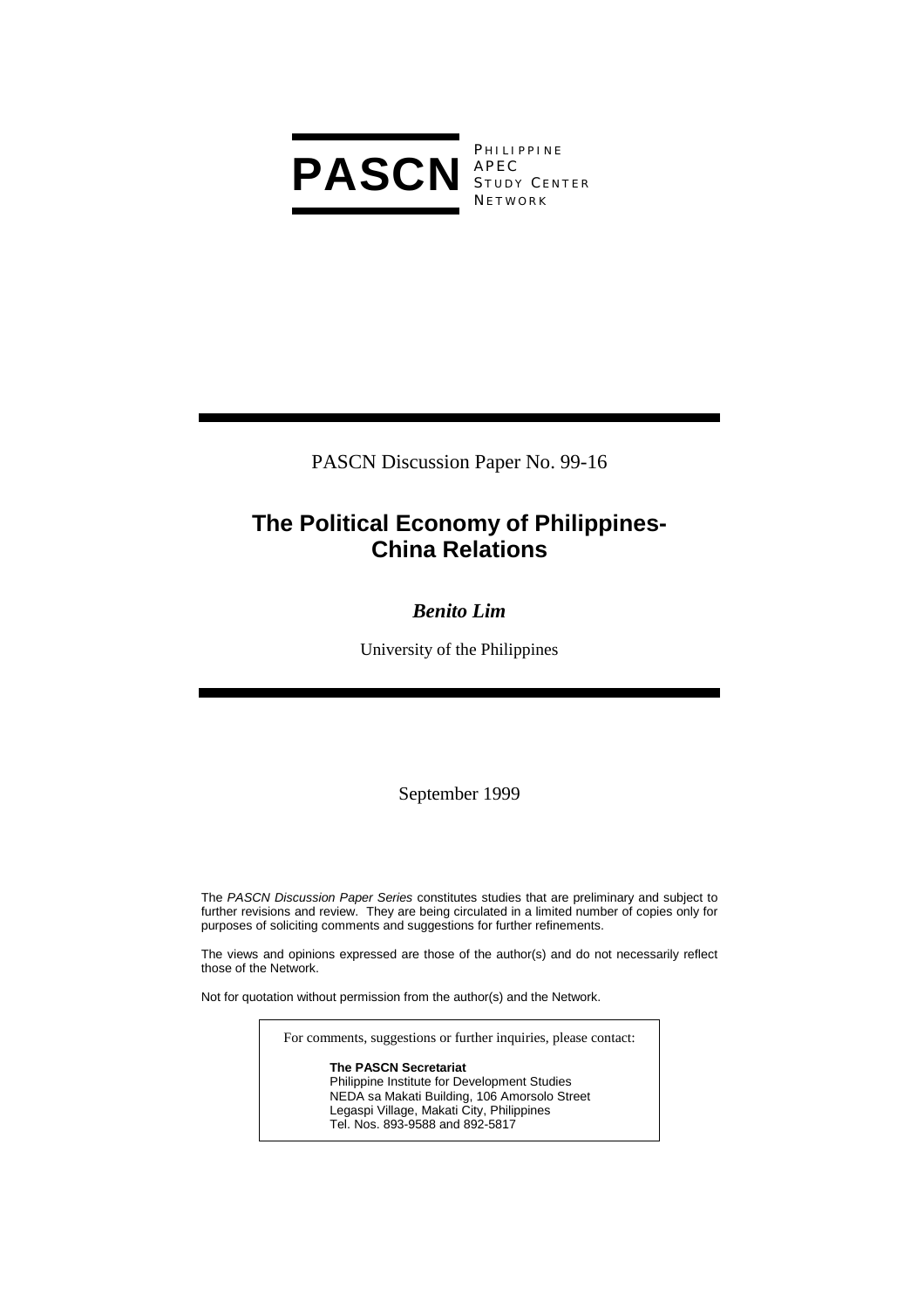

**PHILIPPINE** S TUDY C ENTER **NETWORK** 

PASCN Discussion Paper No. 99-16

# **The Political Economy of Philippines-China Relations**

## *Benito Lim*

University of the Philippines

September 1999

The *PASCN Discussion Paper Series* constitutes studies that are preliminary and subject to further revisions and review. They are being circulated in a limited number of copies only for purposes of soliciting comments and suggestions for further refinements.

The views and opinions expressed are those of the author(s) and do not necessarily reflect those of the Network.

Not for quotation without permission from the author(s) and the Network.

For comments, suggestions or further inquiries, please contact:

**The PASCN Secretariat** Philippine Institute for Development Studies NEDA sa Makati Building, 106 Amorsolo Street Legaspi Village, Makati City, Philippines Tel. Nos. 893-9588 and 892-5817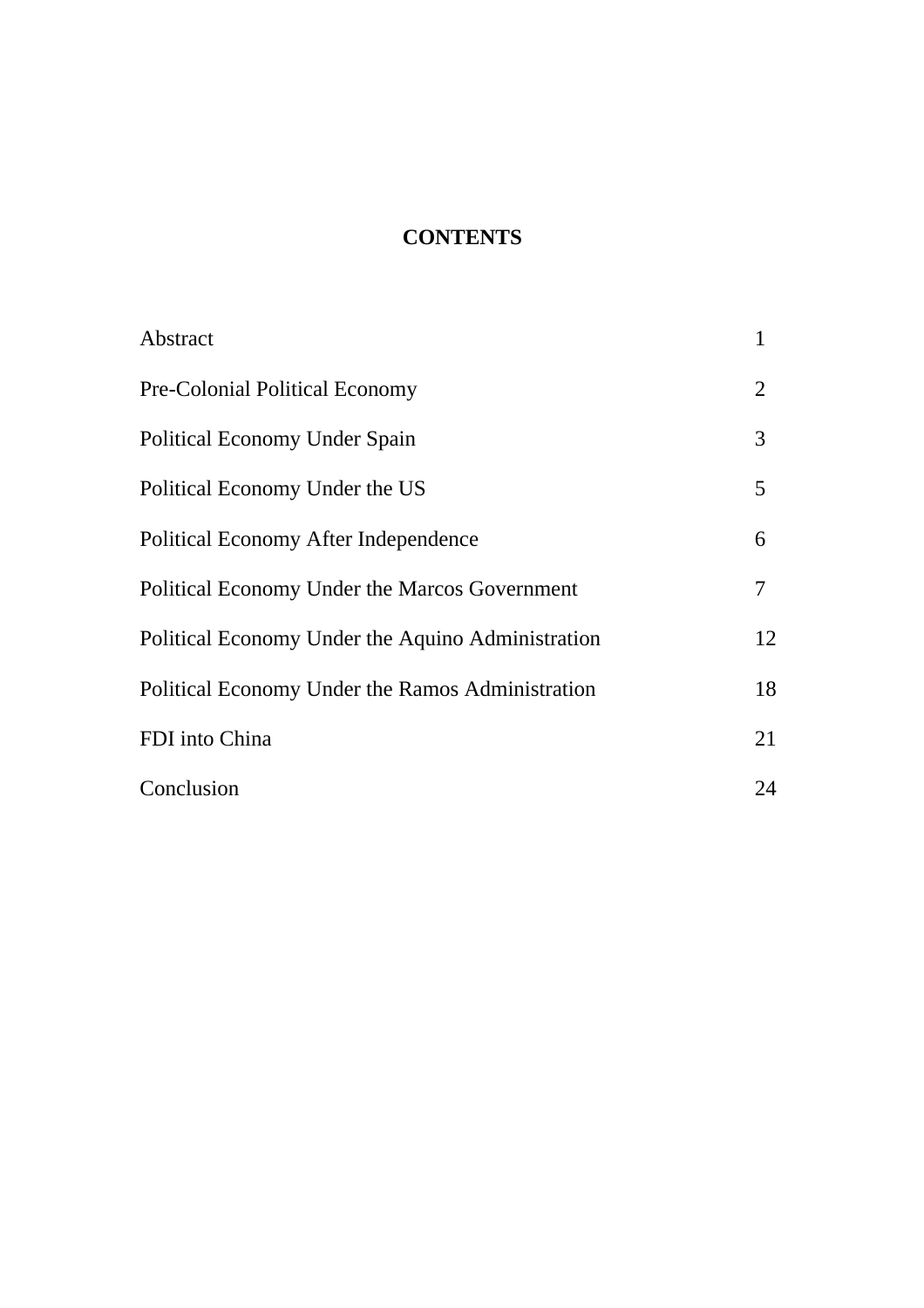# **CONTENTS**

| Abstract                                          | 1              |
|---------------------------------------------------|----------------|
| <b>Pre-Colonial Political Economy</b>             | $\overline{2}$ |
| <b>Political Economy Under Spain</b>              | 3              |
| Political Economy Under the US                    | 5              |
| <b>Political Economy After Independence</b>       | 6              |
| Political Economy Under the Marcos Government     | 7              |
| Political Economy Under the Aquino Administration | 12             |
| Political Economy Under the Ramos Administration  | 18             |
| FDI into China                                    | 21             |
| Conclusion                                        | 24             |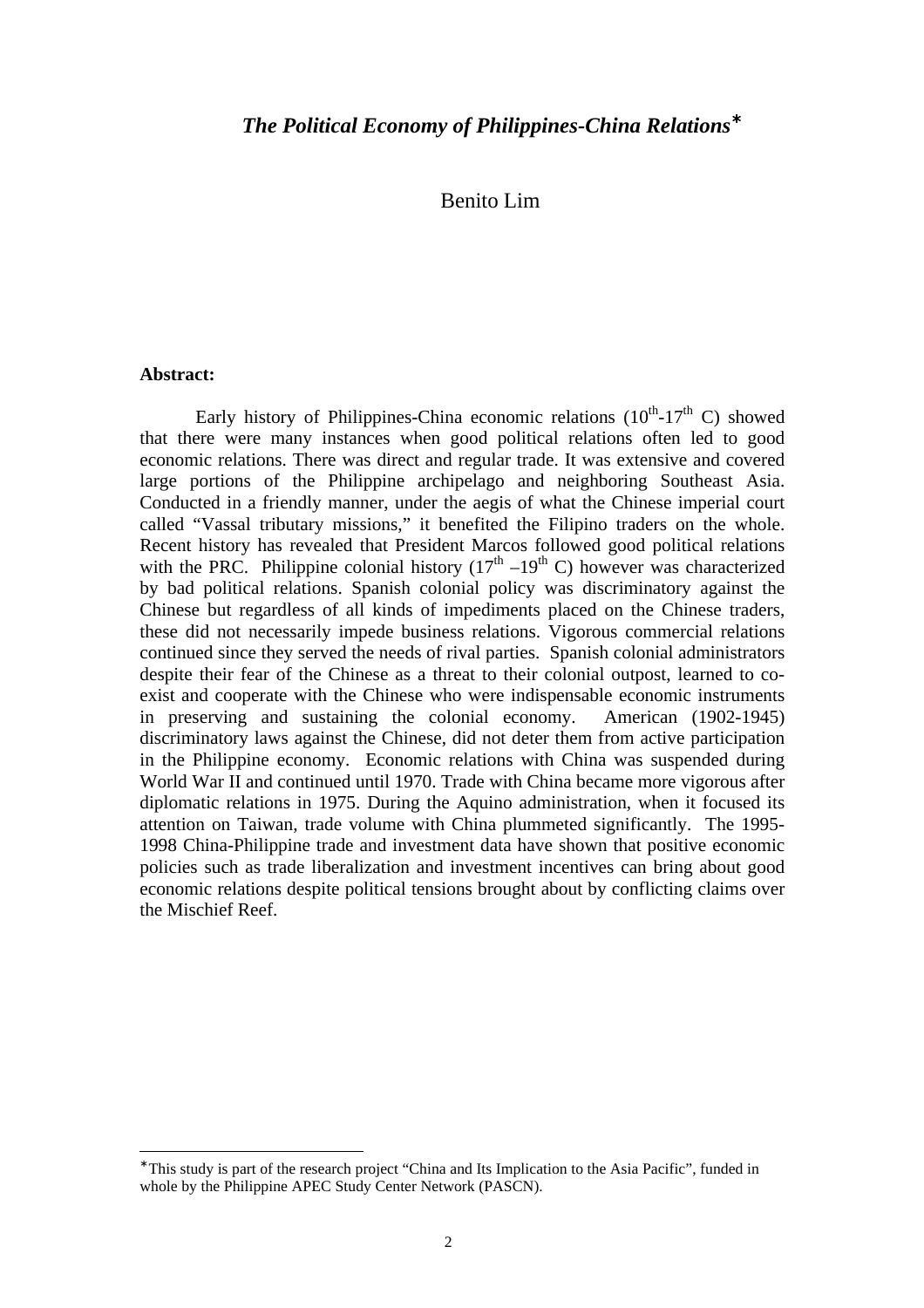## Benito Lim

#### **Abstract:**

 $\overline{a}$ 

Early history of Philippines-China economic relations  $(10<sup>th</sup>-17<sup>th</sup>$  C) showed that there were many instances when good political relations often led to good economic relations. There was direct and regular trade. It was extensive and covered large portions of the Philippine archipelago and neighboring Southeast Asia. Conducted in a friendly manner, under the aegis of what the Chinese imperial court called "Vassal tributary missions," it benefited the Filipino traders on the whole. Recent history has revealed that President Marcos followed good political relations with the PRC. Philippine colonial history  $(17<sup>th</sup> - 19<sup>th</sup> C)$  however was characterized by bad political relations. Spanish colonial policy was discriminatory against the Chinese but regardless of all kinds of impediments placed on the Chinese traders, these did not necessarily impede business relations. Vigorous commercial relations continued since they served the needs of rival parties. Spanish colonial administrators despite their fear of the Chinese as a threat to their colonial outpost, learned to coexist and cooperate with the Chinese who were indispensable economic instruments in preserving and sustaining the colonial economy. American (1902-1945) discriminatory laws against the Chinese, did not deter them from active participation in the Philippine economy. Economic relations with China was suspended during World War II and continued until 1970. Trade with China became more vigorous after diplomatic relations in 1975. During the Aquino administration, when it focused its attention on Taiwan, trade volume with China plummeted significantly. The 1995- 1998 China-Philippine trade and investment data have shown that positive economic policies such as trade liberalization and investment incentives can bring about good economic relations despite political tensions brought about by conflicting claims over the Mischief Reef.

<sup>∗</sup> This study is part of the research project "China and Its Implication to the Asia Pacific", funded in whole by the Philippine APEC Study Center Network (PASCN).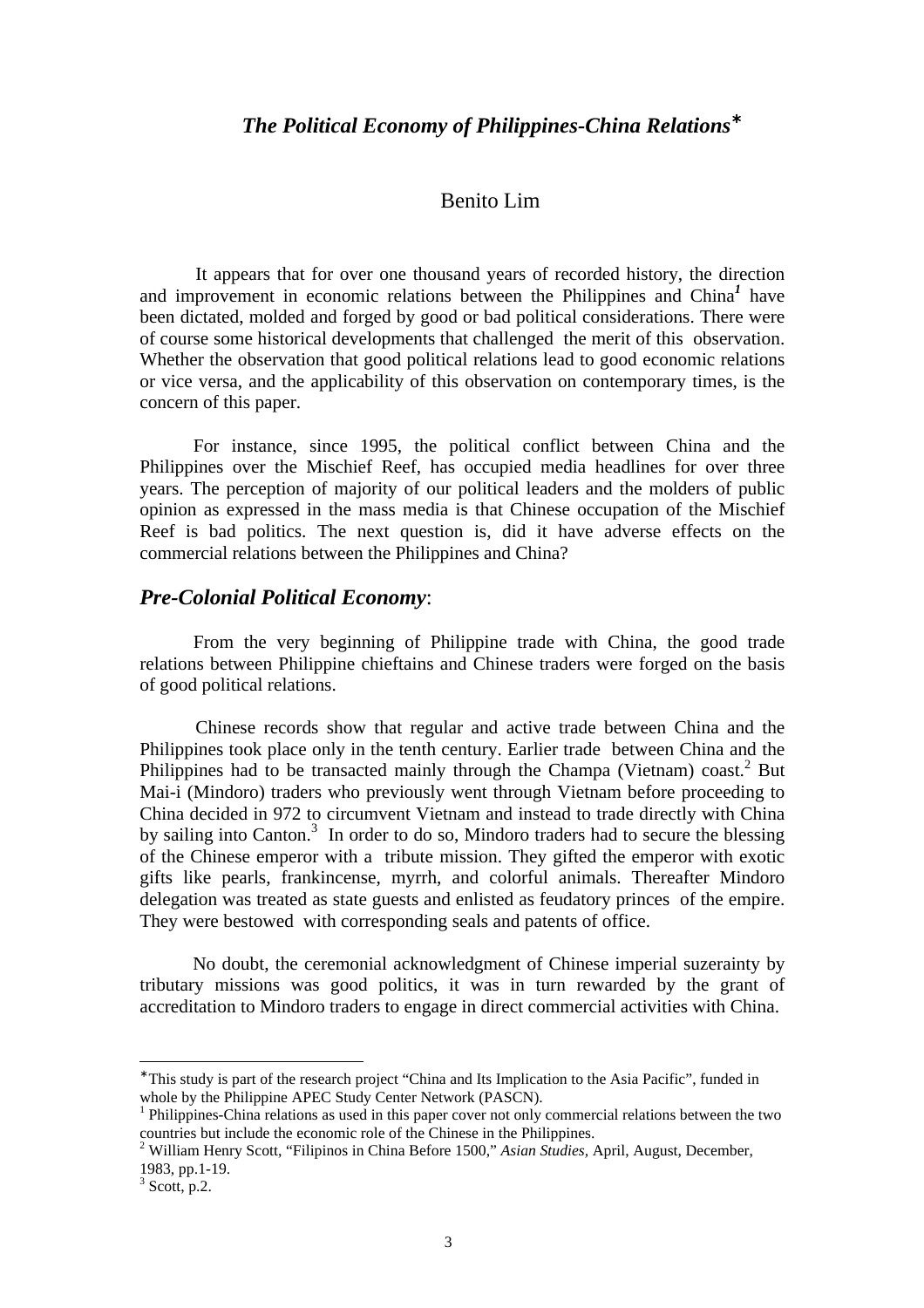## Benito Lim

It appears that for over one thousand years of recorded history, the direction and improvement in economic relations between the Philippines and China*<sup>1</sup>* have been dictated, molded and forged by good or bad political considerations. There were of course some historical developments that challenged the merit of this observation. Whether the observation that good political relations lead to good economic relations or vice versa, and the applicability of this observation on contemporary times, is the concern of this paper.

For instance, since 1995, the political conflict between China and the Philippines over the Mischief Reef, has occupied media headlines for over three years. The perception of majority of our political leaders and the molders of public opinion as expressed in the mass media is that Chinese occupation of the Mischief Reef is bad politics. The next question is, did it have adverse effects on the commercial relations between the Philippines and China?

#### *Pre-Colonial Political Economy*:

From the very beginning of Philippine trade with China, the good trade relations between Philippine chieftains and Chinese traders were forged on the basis of good political relations.

Chinese records show that regular and active trade between China and the Philippines took place only in the tenth century. Earlier trade between China and the Philippines had to be transacted mainly through the Champa (Vietnam) coast.<sup>2</sup> But Mai-i (Mindoro) traders who previously went through Vietnam before proceeding to China decided in 972 to circumvent Vietnam and instead to trade directly with China by sailing into Canton.<sup>3</sup> In order to do so, Mindoro traders had to secure the blessing of the Chinese emperor with a tribute mission. They gifted the emperor with exotic gifts like pearls, frankincense, myrrh, and colorful animals. Thereafter Mindoro delegation was treated as state guests and enlisted as feudatory princes of the empire. They were bestowed with corresponding seals and patents of office.

No doubt, the ceremonial acknowledgment of Chinese imperial suzerainty by tributary missions was good politics, it was in turn rewarded by the grant of accreditation to Mindoro traders to engage in direct commercial activities with China.

<sup>∗</sup> This study is part of the research project "China and Its Implication to the Asia Pacific", funded in whole by the Philippine APEC Study Center Network (PASCN).

<sup>&</sup>lt;sup>1</sup> Philippines-China relations as used in this paper cover not only commercial relations between the two countries but include the economic role of the Chinese in the Philippines.

<sup>2</sup> William Henry Scott, "Filipinos in China Before 1500," *Asian Studies,* April, August, December, 1983, pp.1-19.

 $3$  Scott, p.2.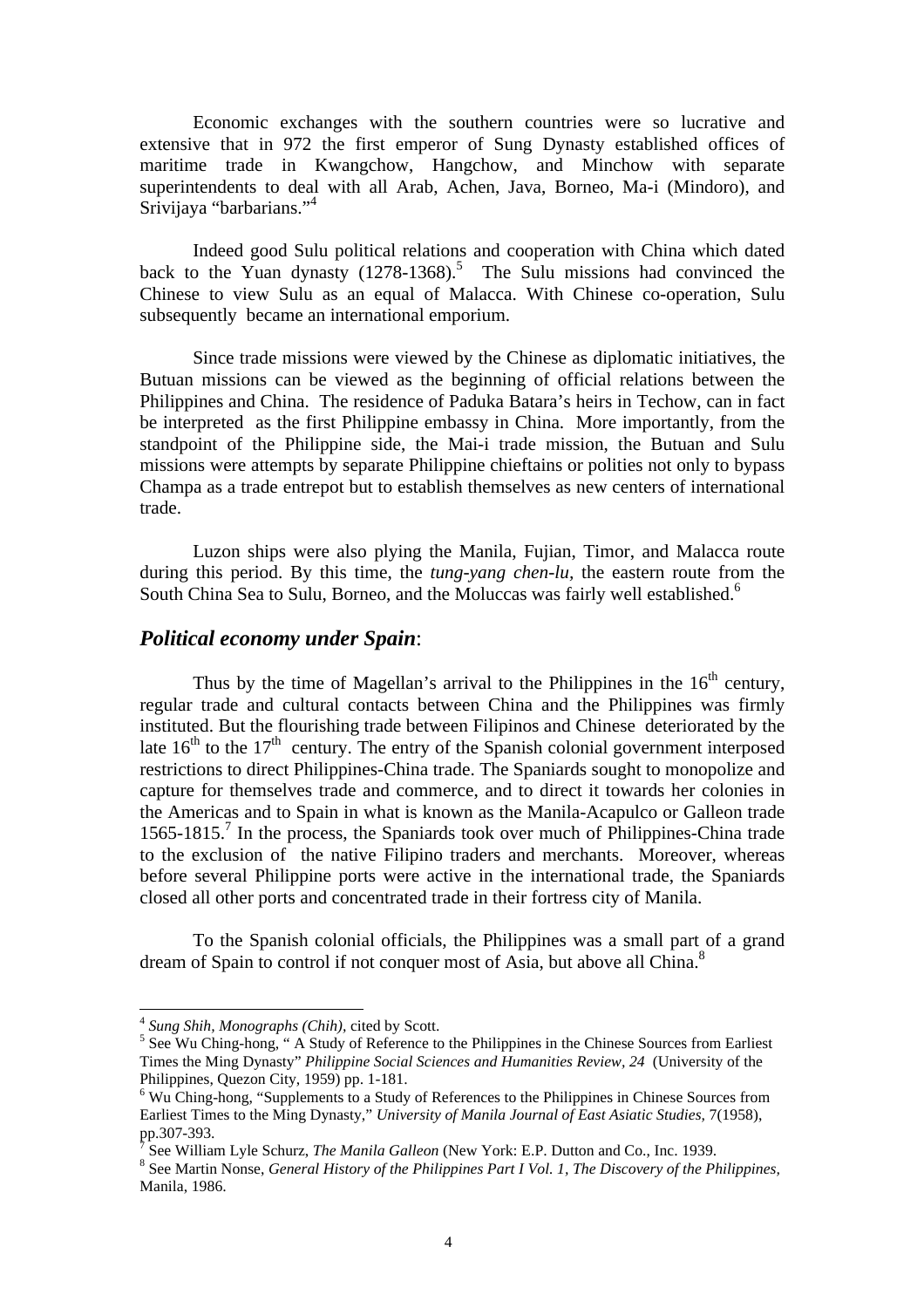Economic exchanges with the southern countries were so lucrative and extensive that in 972 the first emperor of Sung Dynasty established offices of maritime trade in Kwangchow, Hangchow, and Minchow with separate superintendents to deal with all Arab, Achen, Java, Borneo, Ma-i (Mindoro), and Srivijaya "barbarians."<sup>4</sup>

Indeed good Sulu political relations and cooperation with China which dated back to the Yuan dynasty  $(1278-1368)$ .<sup>5</sup> The Sulu missions had convinced the Chinese to view Sulu as an equal of Malacca. With Chinese co-operation, Sulu subsequently became an international emporium.

Since trade missions were viewed by the Chinese as diplomatic initiatives, the Butuan missions can be viewed as the beginning of official relations between the Philippines and China. The residence of Paduka Batara's heirs in Techow, can in fact be interpreted as the first Philippine embassy in China. More importantly, from the standpoint of the Philippine side, the Mai-i trade mission, the Butuan and Sulu missions were attempts by separate Philippine chieftains or polities not only to bypass Champa as a trade entrepot but to establish themselves as new centers of international trade.

Luzon ships were also plying the Manila, Fujian, Timor, and Malacca route during this period. By this time, the *tung-yang chen-lu,* the eastern route from the South China Sea to Sulu, Borneo, and the Moluccas was fairly well established.<sup>6</sup>

### *Political economy under Spain*:

Thus by the time of Magellan's arrival to the Philippines in the  $16<sup>th</sup>$  century, regular trade and cultural contacts between China and the Philippines was firmly instituted. But the flourishing trade between Filipinos and Chinese deteriorated by the late  $16<sup>th</sup>$  to the  $17<sup>th</sup>$  century. The entry of the Spanish colonial government interposed restrictions to direct Philippines-China trade. The Spaniards sought to monopolize and capture for themselves trade and commerce, and to direct it towards her colonies in the Americas and to Spain in what is known as the Manila-Acapulco or Galleon trade 1565-1815.<sup>7</sup> In the process, the Spaniards took over much of Philippines-China trade to the exclusion of the native Filipino traders and merchants. Moreover, whereas before several Philippine ports were active in the international trade, the Spaniards closed all other ports and concentrated trade in their fortress city of Manila.

To the Spanish colonial officials, the Philippines was a small part of a grand dream of Spain to control if not conquer most of Asia, but above all China.<sup>8</sup>

<sup>4</sup> *Sung Shih, Monographs (Chih),* cited by Scott.

<sup>&</sup>lt;sup>5</sup> See Wu Ching-hong, "A Study of Reference to the Philippines in the Chinese Sources from Earliest Times the Ming Dynasty" *Philippine Social Sciences and Humanities Review, 24* (University of the Philippines, Quezon City, 1959) pp. 1-181.

<sup>&</sup>lt;sup>6</sup> Wu Ching-hong, "Supplements to a Study of References to the Philippines in Chinese Sources from Earliest Times to the Ming Dynasty," *University of Manila Journal of East Asiatic Studies,* 7(1958), pp.307-393.

<sup>7</sup> See William Lyle Schurz, *The Manila Galleon* (New York: E.P. Dutton and Co., Inc. 1939.

<sup>8</sup> See Martin Nonse, *General History of the Philippines Part I Vol. 1, The Discovery of the Philippines,* Manila, 1986.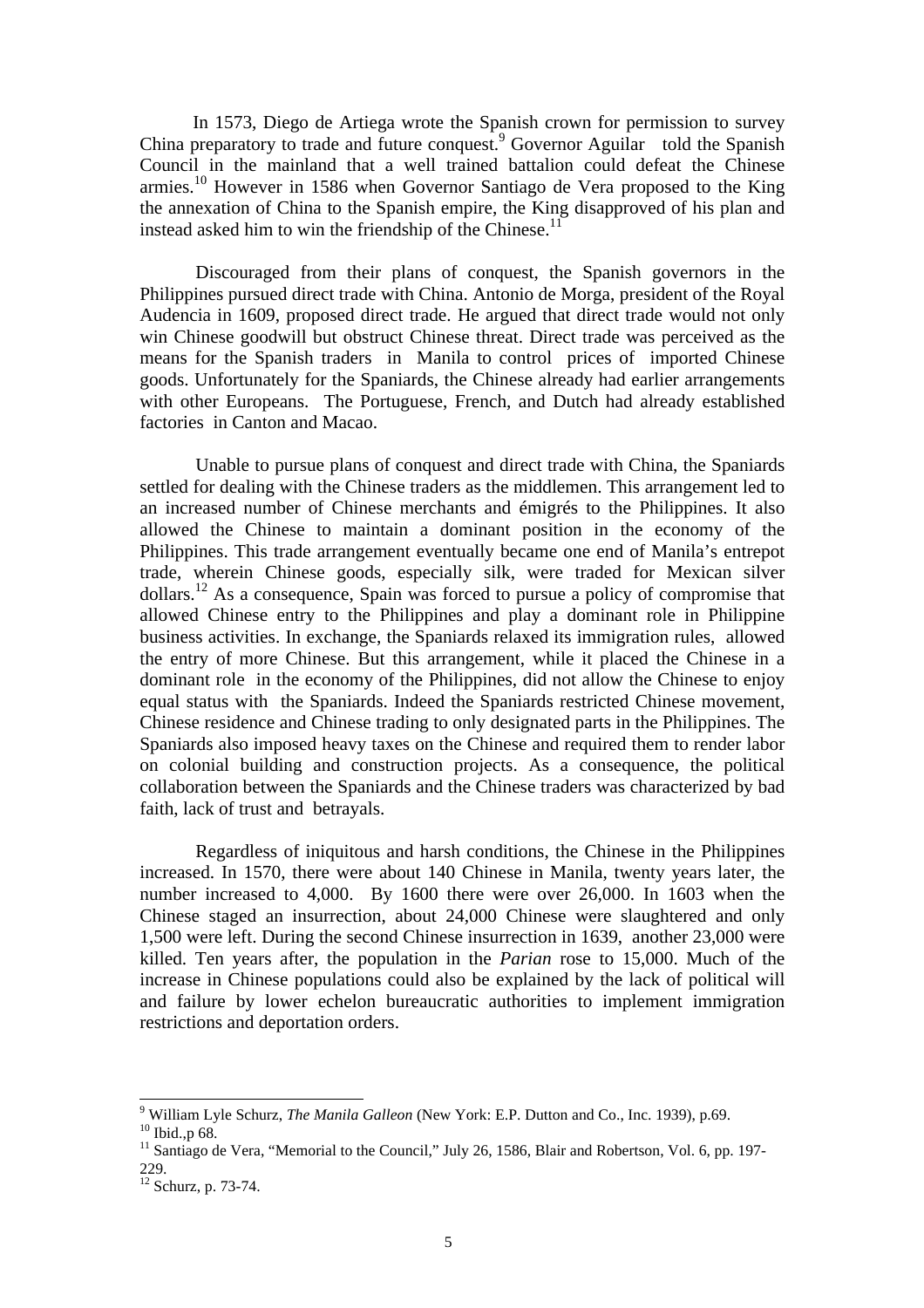In 1573, Diego de Artiega wrote the Spanish crown for permission to survey China preparatory to trade and future conquest.<sup>9</sup> Governor Aguilar told the Spanish Council in the mainland that a well trained battalion could defeat the Chinese armies.<sup>10</sup> However in 1586 when Governor Santiago de Vera proposed to the King the annexation of China to the Spanish empire, the King disapproved of his plan and instead asked him to win the friendship of the Chinese.<sup>11</sup>

Discouraged from their plans of conquest, the Spanish governors in the Philippines pursued direct trade with China. Antonio de Morga, president of the Royal Audencia in 1609, proposed direct trade. He argued that direct trade would not only win Chinese goodwill but obstruct Chinese threat. Direct trade was perceived as the means for the Spanish traders in Manila to control prices of imported Chinese goods. Unfortunately for the Spaniards, the Chinese already had earlier arrangements with other Europeans. The Portuguese, French, and Dutch had already established factories in Canton and Macao.

Unable to pursue plans of conquest and direct trade with China, the Spaniards settled for dealing with the Chinese traders as the middlemen. This arrangement led to an increased number of Chinese merchants and émigrés to the Philippines. It also allowed the Chinese to maintain a dominant position in the economy of the Philippines. This trade arrangement eventually became one end of Manila's entrepot trade, wherein Chinese goods, especially silk, were traded for Mexican silver dollars.<sup>12</sup> As a consequence, Spain was forced to pursue a policy of compromise that allowed Chinese entry to the Philippines and play a dominant role in Philippine business activities. In exchange, the Spaniards relaxed its immigration rules, allowed the entry of more Chinese. But this arrangement, while it placed the Chinese in a dominant role in the economy of the Philippines, did not allow the Chinese to enjoy equal status with the Spaniards. Indeed the Spaniards restricted Chinese movement, Chinese residence and Chinese trading to only designated parts in the Philippines. The Spaniards also imposed heavy taxes on the Chinese and required them to render labor on colonial building and construction projects. As a consequence, the political collaboration between the Spaniards and the Chinese traders was characterized by bad faith, lack of trust and betrayals.

Regardless of iniquitous and harsh conditions, the Chinese in the Philippines increased. In 1570, there were about 140 Chinese in Manila, twenty years later, the number increased to 4,000. By 1600 there were over 26,000. In 1603 when the Chinese staged an insurrection, about 24,000 Chinese were slaughtered and only 1,500 were left. During the second Chinese insurrection in 1639, another 23,000 were killed. Ten years after, the population in the *Parian* rose to 15,000. Much of the increase in Chinese populations could also be explained by the lack of political will and failure by lower echelon bureaucratic authorities to implement immigration restrictions and deportation orders.

<sup>9</sup> William Lyle Schurz, *The Manila Galleon* (New York: E.P. Dutton and Co., Inc. 1939), p.69.

<sup>&</sup>lt;sup>10</sup> Ibid., p 68.

<sup>&</sup>lt;sup>11</sup> Santiago de Vera, "Memorial to the Council," July 26, 1586, Blair and Robertson, Vol. 6, pp. 197-229.

 $12$  Schurz, p. 73-74.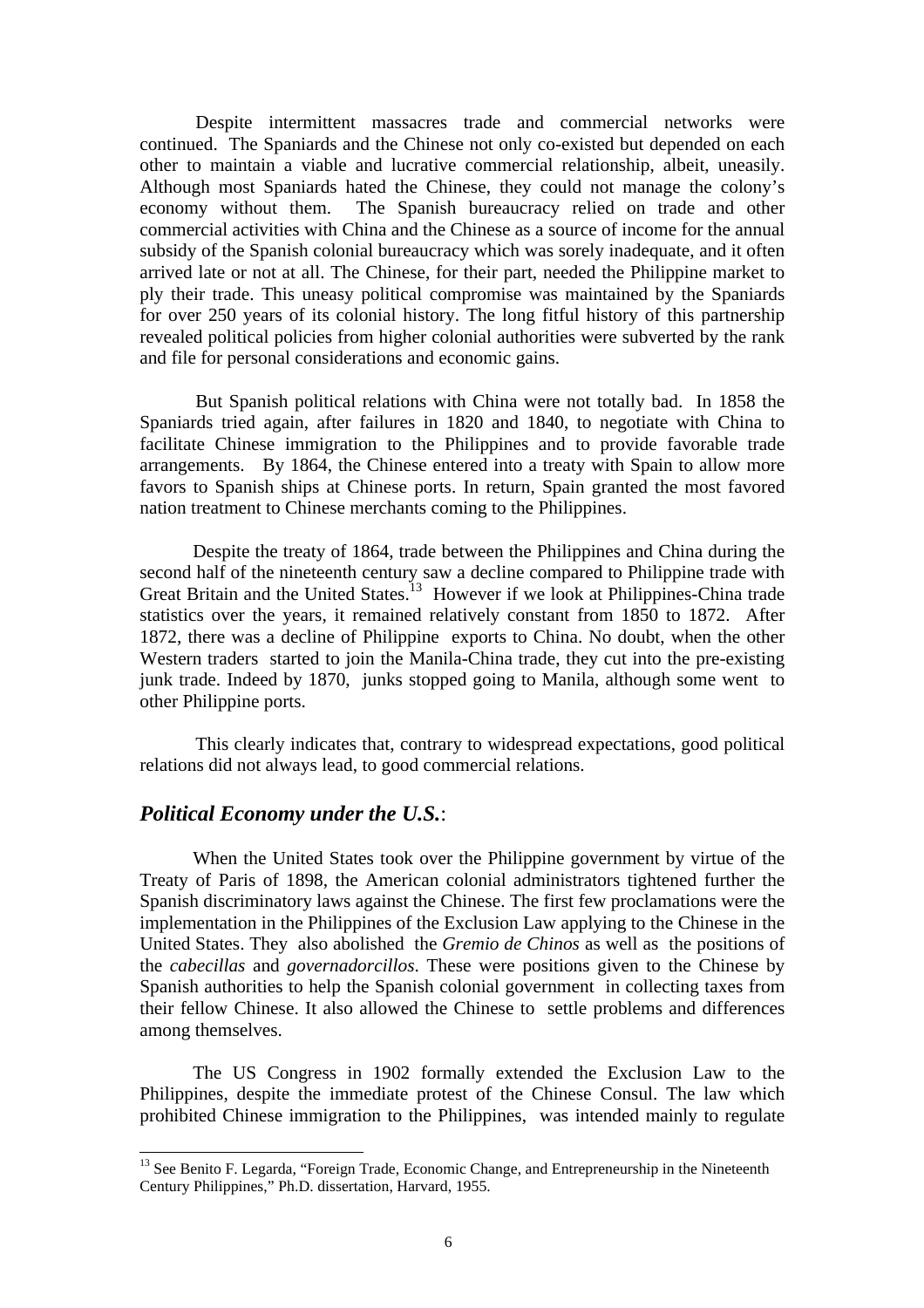Despite intermittent massacres trade and commercial networks were continued. The Spaniards and the Chinese not only co-existed but depended on each other to maintain a viable and lucrative commercial relationship, albeit, uneasily. Although most Spaniards hated the Chinese, they could not manage the colony's economy without them. The Spanish bureaucracy relied on trade and other commercial activities with China and the Chinese as a source of income for the annual subsidy of the Spanish colonial bureaucracy which was sorely inadequate, and it often arrived late or not at all. The Chinese, for their part, needed the Philippine market to ply their trade. This uneasy political compromise was maintained by the Spaniards for over 250 years of its colonial history. The long fitful history of this partnership revealed political policies from higher colonial authorities were subverted by the rank and file for personal considerations and economic gains.

But Spanish political relations with China were not totally bad. In 1858 the Spaniards tried again, after failures in 1820 and 1840, to negotiate with China to facilitate Chinese immigration to the Philippines and to provide favorable trade arrangements. By 1864, the Chinese entered into a treaty with Spain to allow more favors to Spanish ships at Chinese ports. In return, Spain granted the most favored nation treatment to Chinese merchants coming to the Philippines.

Despite the treaty of 1864, trade between the Philippines and China during the second half of the nineteenth century saw a decline compared to Philippine trade with Great Britain and the United States.<sup>13</sup> However if we look at Philippines-China trade statistics over the years, it remained relatively constant from 1850 to 1872. After 1872, there was a decline of Philippine exports to China. No doubt, when the other Western traders started to join the Manila-China trade, they cut into the pre-existing junk trade. Indeed by 1870, junks stopped going to Manila, although some went to other Philippine ports.

This clearly indicates that, contrary to widespread expectations, good political relations did not always lead, to good commercial relations.

#### *Political Economy under the U.S.*:

 $\overline{a}$ 

When the United States took over the Philippine government by virtue of the Treaty of Paris of 1898, the American colonial administrators tightened further the Spanish discriminatory laws against the Chinese. The first few proclamations were the implementation in the Philippines of the Exclusion Law applying to the Chinese in the United States. They also abolished the *Gremio de Chinos* as well as the positions of the *cabecillas* and *governadorcillos*. These were positions given to the Chinese by Spanish authorities to help the Spanish colonial government in collecting taxes from their fellow Chinese. It also allowed the Chinese to settle problems and differences among themselves.

The US Congress in 1902 formally extended the Exclusion Law to the Philippines, despite the immediate protest of the Chinese Consul. The law which prohibited Chinese immigration to the Philippines, was intended mainly to regulate

<sup>&</sup>lt;sup>13</sup> See Benito F. Legarda, "Foreign Trade, Economic Change, and Entrepreneurship in the Nineteenth Century Philippines," Ph.D. dissertation, Harvard, 1955.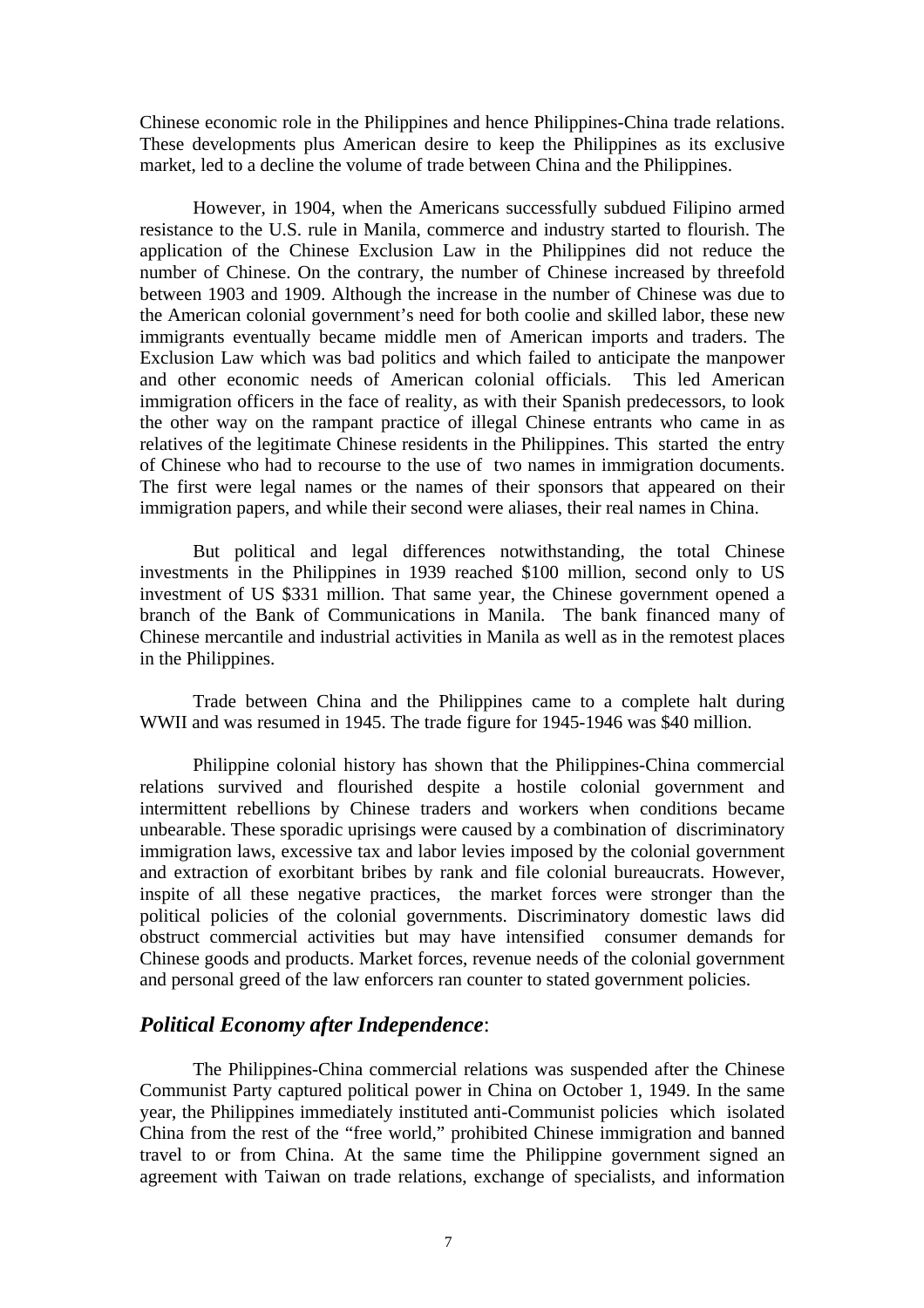Chinese economic role in the Philippines and hence Philippines-China trade relations. These developments plus American desire to keep the Philippines as its exclusive market, led to a decline the volume of trade between China and the Philippines.

However, in 1904, when the Americans successfully subdued Filipino armed resistance to the U.S. rule in Manila, commerce and industry started to flourish. The application of the Chinese Exclusion Law in the Philippines did not reduce the number of Chinese. On the contrary, the number of Chinese increased by threefold between 1903 and 1909. Although the increase in the number of Chinese was due to the American colonial government's need for both coolie and skilled labor, these new immigrants eventually became middle men of American imports and traders. The Exclusion Law which was bad politics and which failed to anticipate the manpower and other economic needs of American colonial officials. This led American immigration officers in the face of reality, as with their Spanish predecessors, to look the other way on the rampant practice of illegal Chinese entrants who came in as relatives of the legitimate Chinese residents in the Philippines. This started the entry of Chinese who had to recourse to the use of two names in immigration documents. The first were legal names or the names of their sponsors that appeared on their immigration papers, and while their second were aliases, their real names in China.

But political and legal differences notwithstanding, the total Chinese investments in the Philippines in 1939 reached \$100 million, second only to US investment of US \$331 million. That same year, the Chinese government opened a branch of the Bank of Communications in Manila. The bank financed many of Chinese mercantile and industrial activities in Manila as well as in the remotest places in the Philippines.

Trade between China and the Philippines came to a complete halt during WWII and was resumed in 1945. The trade figure for 1945-1946 was \$40 million.

Philippine colonial history has shown that the Philippines-China commercial relations survived and flourished despite a hostile colonial government and intermittent rebellions by Chinese traders and workers when conditions became unbearable. These sporadic uprisings were caused by a combination of discriminatory immigration laws, excessive tax and labor levies imposed by the colonial government and extraction of exorbitant bribes by rank and file colonial bureaucrats. However, inspite of all these negative practices, the market forces were stronger than the political policies of the colonial governments. Discriminatory domestic laws did obstruct commercial activities but may have intensified consumer demands for Chinese goods and products. Market forces, revenue needs of the colonial government and personal greed of the law enforcers ran counter to stated government policies.

### *Political Economy after Independence*:

The Philippines-China commercial relations was suspended after the Chinese Communist Party captured political power in China on October 1, 1949. In the same year, the Philippines immediately instituted anti-Communist policies which isolated China from the rest of the "free world," prohibited Chinese immigration and banned travel to or from China. At the same time the Philippine government signed an agreement with Taiwan on trade relations, exchange of specialists, and information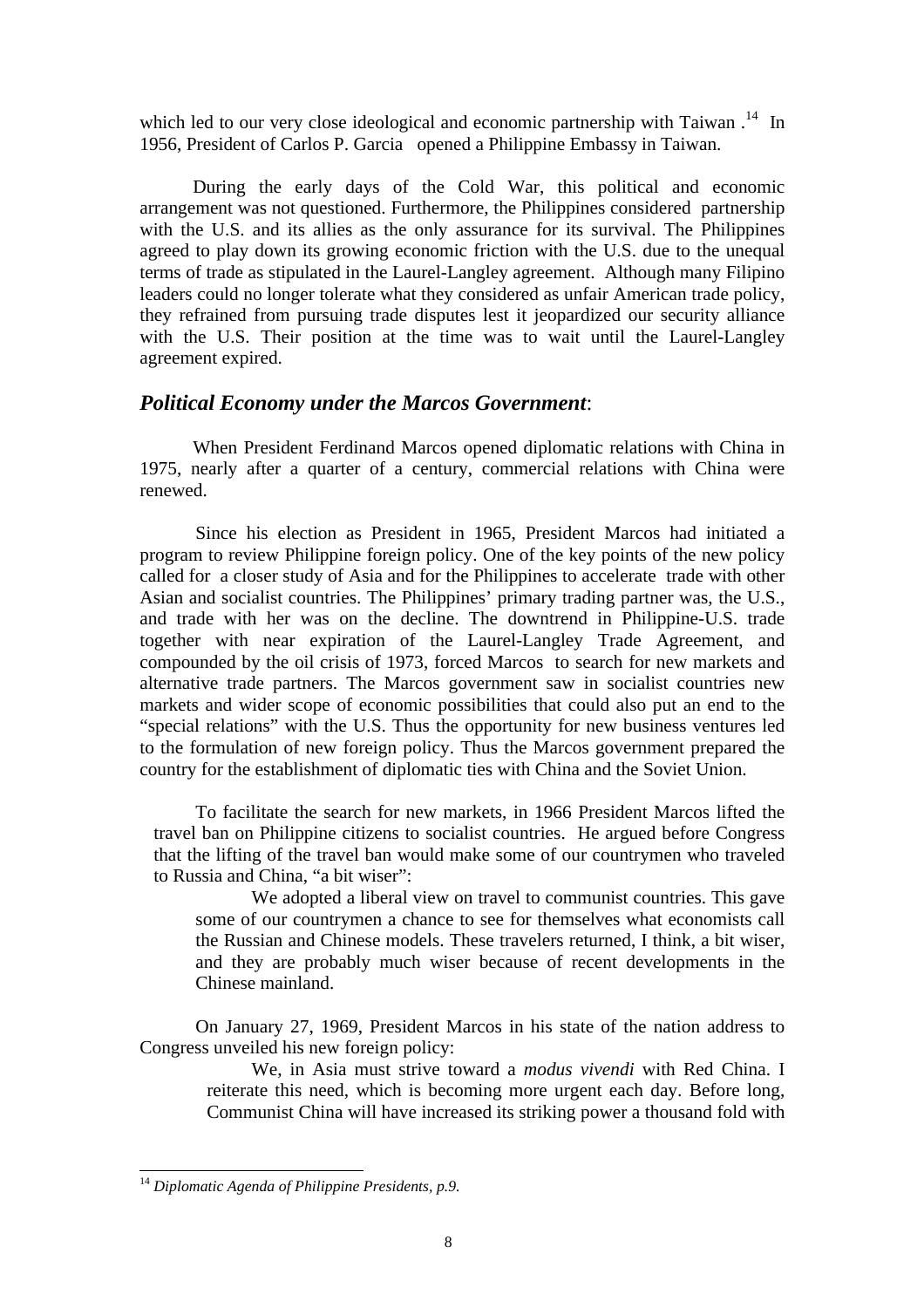which led to our very close ideological and economic partnership with Taiwan.<sup>14</sup> In 1956, President of Carlos P. Garcia opened a Philippine Embassy in Taiwan.

During the early days of the Cold War, this political and economic arrangement was not questioned. Furthermore, the Philippines considered partnership with the U.S. and its allies as the only assurance for its survival. The Philippines agreed to play down its growing economic friction with the U.S. due to the unequal terms of trade as stipulated in the Laurel-Langley agreement. Although many Filipino leaders could no longer tolerate what they considered as unfair American trade policy, they refrained from pursuing trade disputes lest it jeopardized our security alliance with the U.S. Their position at the time was to wait until the Laurel-Langley agreement expired.

## *Political Economy under the Marcos Government*:

When President Ferdinand Marcos opened diplomatic relations with China in 1975, nearly after a quarter of a century, commercial relations with China were renewed.

Since his election as President in 1965, President Marcos had initiated a program to review Philippine foreign policy. One of the key points of the new policy called for a closer study of Asia and for the Philippines to accelerate trade with other Asian and socialist countries. The Philippines' primary trading partner was, the U.S., and trade with her was on the decline. The downtrend in Philippine-U.S. trade together with near expiration of the Laurel-Langley Trade Agreement, and compounded by the oil crisis of 1973, forced Marcos to search for new markets and alternative trade partners. The Marcos government saw in socialist countries new markets and wider scope of economic possibilities that could also put an end to the "special relations" with the U.S. Thus the opportunity for new business ventures led to the formulation of new foreign policy. Thus the Marcos government prepared the country for the establishment of diplomatic ties with China and the Soviet Union.

To facilitate the search for new markets, in 1966 President Marcos lifted the travel ban on Philippine citizens to socialist countries. He argued before Congress that the lifting of the travel ban would make some of our countrymen who traveled to Russia and China, "a bit wiser":

We adopted a liberal view on travel to communist countries. This gave some of our countrymen a chance to see for themselves what economists call the Russian and Chinese models. These travelers returned, I think, a bit wiser, and they are probably much wiser because of recent developments in the Chinese mainland.

On January 27, 1969, President Marcos in his state of the nation address to Congress unveiled his new foreign policy:

> We, in Asia must strive toward a *modus vivendi* with Red China. I reiterate this need, which is becoming more urgent each day. Before long, Communist China will have increased its striking power a thousand fold with

<sup>14</sup> *Diplomatic Agenda of Philippine Presidents, p.9.*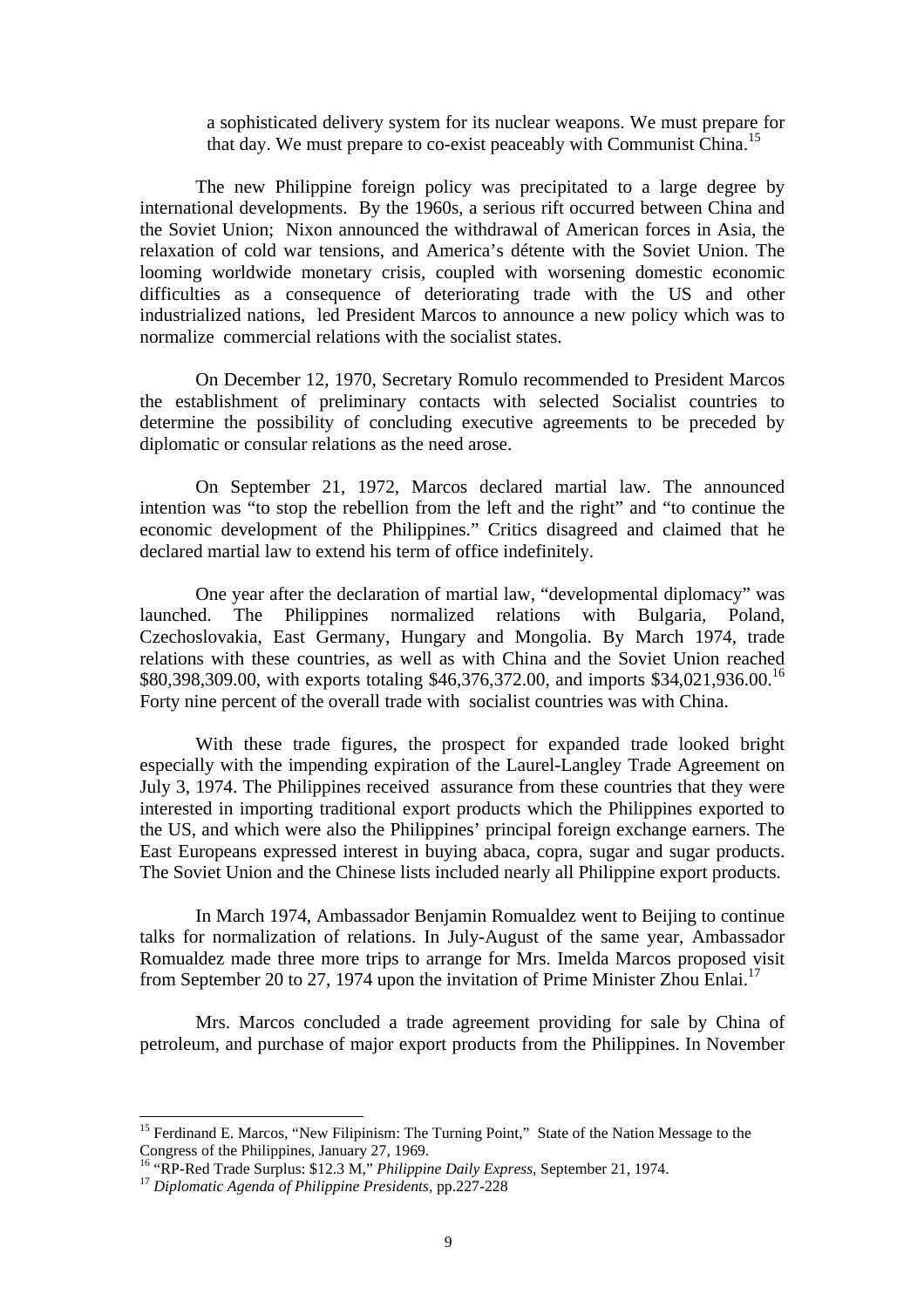a sophisticated delivery system for its nuclear weapons. We must prepare for that day. We must prepare to co-exist peaceably with Communist China.<sup>15</sup>

The new Philippine foreign policy was precipitated to a large degree by international developments. By the 1960s, a serious rift occurred between China and the Soviet Union; Nixon announced the withdrawal of American forces in Asia, the relaxation of cold war tensions, and America's détente with the Soviet Union. The looming worldwide monetary crisis, coupled with worsening domestic economic difficulties as a consequence of deteriorating trade with the US and other industrialized nations, led President Marcos to announce a new policy which was to normalize commercial relations with the socialist states.

On December 12, 1970, Secretary Romulo recommended to President Marcos the establishment of preliminary contacts with selected Socialist countries to determine the possibility of concluding executive agreements to be preceded by diplomatic or consular relations as the need arose.

On September 21, 1972, Marcos declared martial law. The announced intention was "to stop the rebellion from the left and the right" and "to continue the economic development of the Philippines." Critics disagreed and claimed that he declared martial law to extend his term of office indefinitely.

One year after the declaration of martial law, "developmental diplomacy" was launched. The Philippines normalized relations with Bulgaria, Poland, Czechoslovakia, East Germany, Hungary and Mongolia. By March 1974, trade relations with these countries, as well as with China and the Soviet Union reached \$80,398,309.00, with exports totaling \$46,376,372.00, and imports \$34,021,936.00.<sup>16</sup> Forty nine percent of the overall trade with socialist countries was with China.

With these trade figures, the prospect for expanded trade looked bright especially with the impending expiration of the Laurel-Langley Trade Agreement on July 3, 1974. The Philippines received assurance from these countries that they were interested in importing traditional export products which the Philippines exported to the US, and which were also the Philippines' principal foreign exchange earners. The East Europeans expressed interest in buying abaca, copra, sugar and sugar products. The Soviet Union and the Chinese lists included nearly all Philippine export products.

In March 1974, Ambassador Benjamin Romualdez went to Beijing to continue talks for normalization of relations. In July-August of the same year, Ambassador Romualdez made three more trips to arrange for Mrs. Imelda Marcos proposed visit from September 20 to 27, 1974 upon the invitation of Prime Minister Zhou Enlai.<sup>17</sup>

Mrs. Marcos concluded a trade agreement providing for sale by China of petroleum, and purchase of major export products from the Philippines. In November

<sup>&</sup>lt;sup>15</sup> Ferdinand E. Marcos, "New Filipinism: The Turning Point," State of the Nation Message to the Congress of the Philippines, January 27, 1969.

<sup>16</sup> "RP-Red Trade Surplus: \$12.3 M," *Philippine Daily Express,* September 21, 1974.

<sup>17</sup> *Diplomatic Agenda of Philippine Presidents,* pp.227-228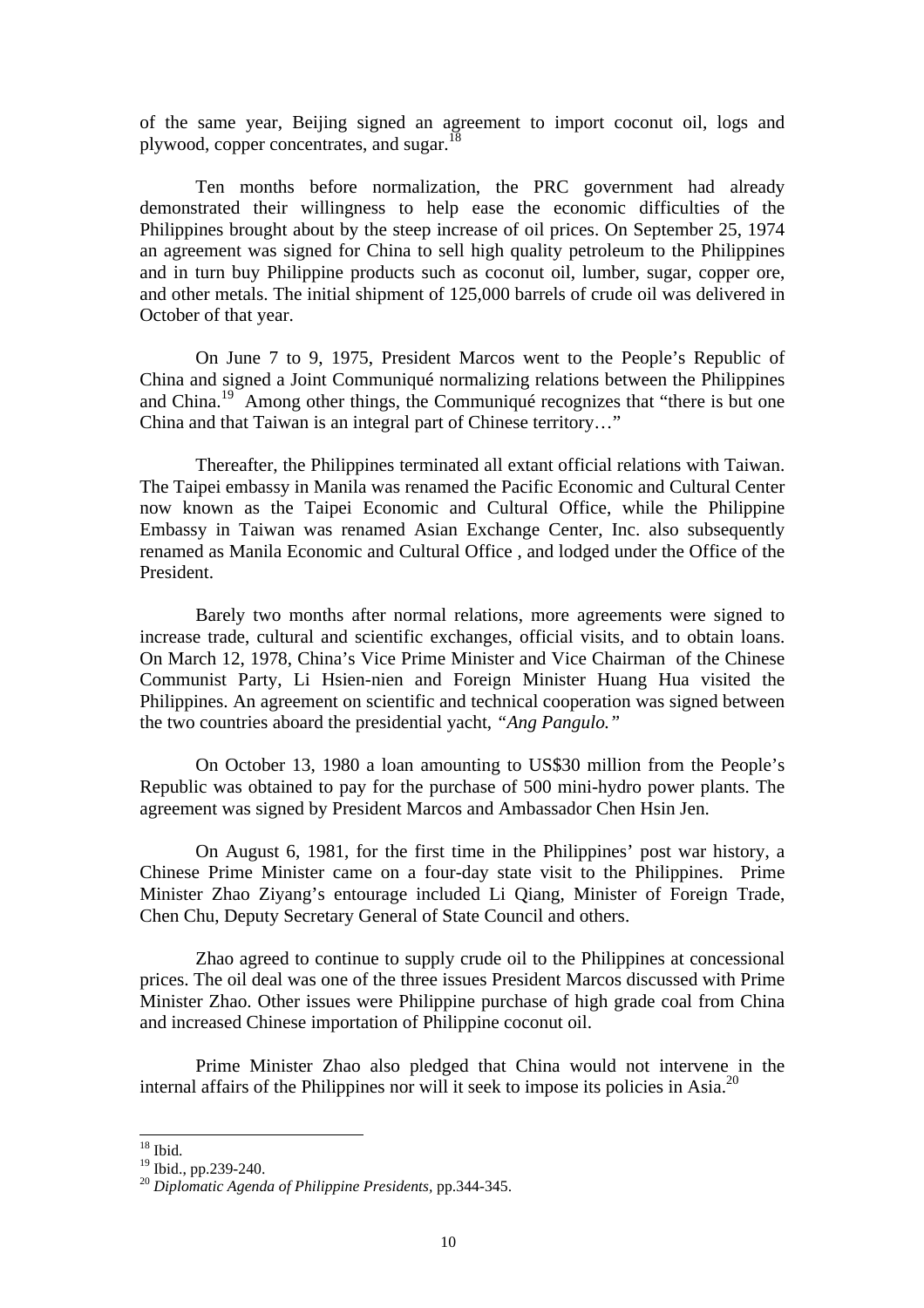of the same year, Beijing signed an agreement to import coconut oil, logs and plywood, copper concentrates, and sugar.<sup>18</sup>

Ten months before normalization, the PRC government had already demonstrated their willingness to help ease the economic difficulties of the Philippines brought about by the steep increase of oil prices. On September 25, 1974 an agreement was signed for China to sell high quality petroleum to the Philippines and in turn buy Philippine products such as coconut oil, lumber, sugar, copper ore, and other metals. The initial shipment of 125,000 barrels of crude oil was delivered in October of that year.

On June 7 to 9, 1975, President Marcos went to the People's Republic of China and signed a Joint Communiqué normalizing relations between the Philippines and China.<sup>19</sup> Among other things, the Communiqué recognizes that "there is but one China and that Taiwan is an integral part of Chinese territory…"

Thereafter, the Philippines terminated all extant official relations with Taiwan. The Taipei embassy in Manila was renamed the Pacific Economic and Cultural Center now known as the Taipei Economic and Cultural Office, while the Philippine Embassy in Taiwan was renamed Asian Exchange Center, Inc. also subsequently renamed as Manila Economic and Cultural Office , and lodged under the Office of the President.

Barely two months after normal relations, more agreements were signed to increase trade, cultural and scientific exchanges, official visits, and to obtain loans. On March 12, 1978, China's Vice Prime Minister and Vice Chairman of the Chinese Communist Party, Li Hsien-nien and Foreign Minister Huang Hua visited the Philippines. An agreement on scientific and technical cooperation was signed between the two countries aboard the presidential yacht, *"Ang Pangulo."*

On October 13, 1980 a loan amounting to US\$30 million from the People's Republic was obtained to pay for the purchase of 500 mini-hydro power plants. The agreement was signed by President Marcos and Ambassador Chen Hsin Jen.

On August 6, 1981, for the first time in the Philippines' post war history, a Chinese Prime Minister came on a four-day state visit to the Philippines. Prime Minister Zhao Ziyang's entourage included Li Qiang, Minister of Foreign Trade, Chen Chu, Deputy Secretary General of State Council and others.

Zhao agreed to continue to supply crude oil to the Philippines at concessional prices. The oil deal was one of the three issues President Marcos discussed with Prime Minister Zhao. Other issues were Philippine purchase of high grade coal from China and increased Chinese importation of Philippine coconut oil.

Prime Minister Zhao also pledged that China would not intervene in the internal affairs of the Philippines nor will it seek to impose its policies in Asia.<sup>20</sup>

 $18$  Ibid.

<sup>19</sup> Ibid., pp.239-240.

<sup>20</sup> *Diplomatic Agenda of Philippine Presidents,* pp.344-345.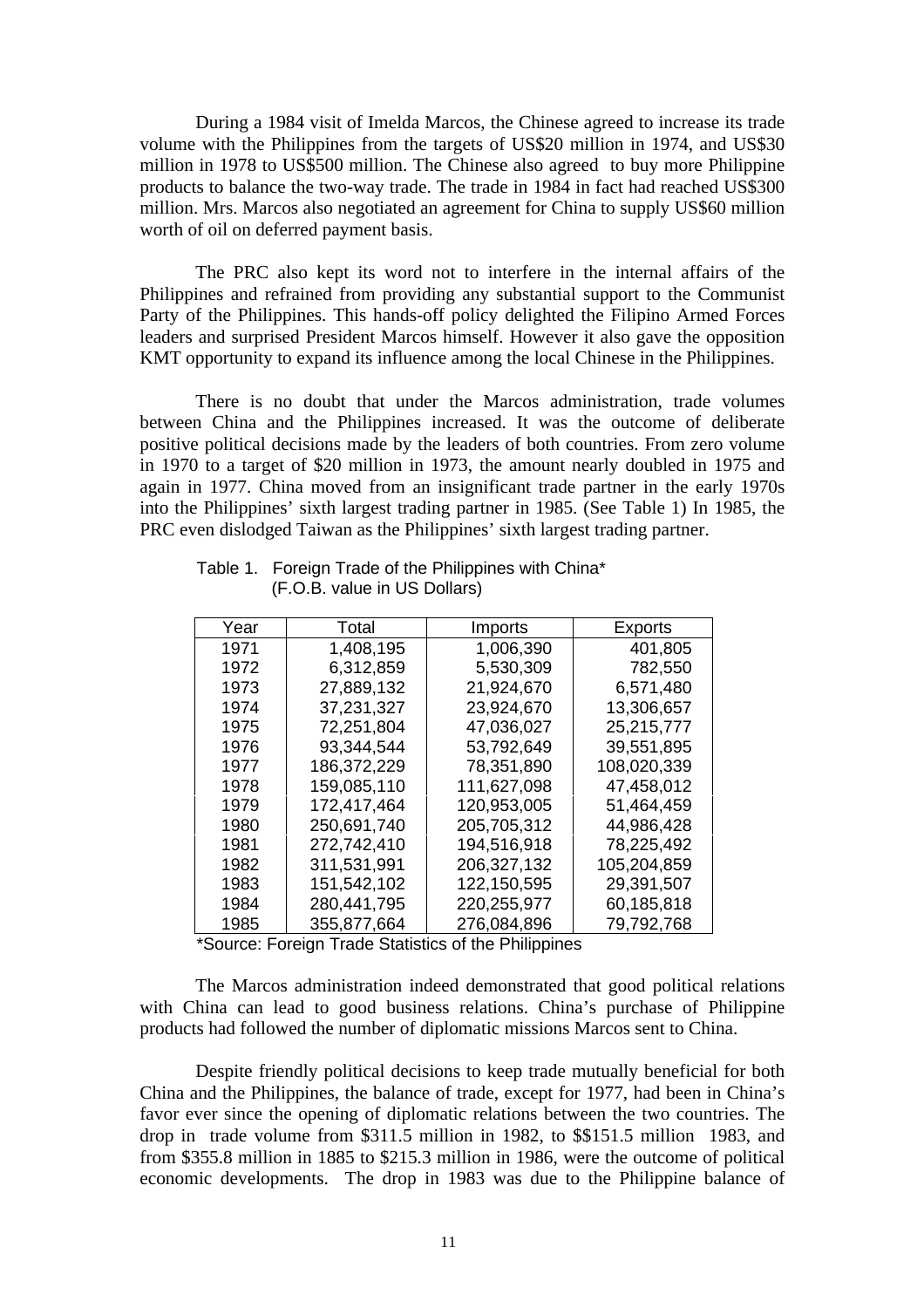During a 1984 visit of Imelda Marcos, the Chinese agreed to increase its trade volume with the Philippines from the targets of US\$20 million in 1974, and US\$30 million in 1978 to US\$500 million. The Chinese also agreed to buy more Philippine products to balance the two-way trade. The trade in 1984 in fact had reached US\$300 million. Mrs. Marcos also negotiated an agreement for China to supply US\$60 million worth of oil on deferred payment basis.

The PRC also kept its word not to interfere in the internal affairs of the Philippines and refrained from providing any substantial support to the Communist Party of the Philippines. This hands-off policy delighted the Filipino Armed Forces leaders and surprised President Marcos himself. However it also gave the opposition KMT opportunity to expand its influence among the local Chinese in the Philippines.

There is no doubt that under the Marcos administration, trade volumes between China and the Philippines increased. It was the outcome of deliberate positive political decisions made by the leaders of both countries. From zero volume in 1970 to a target of \$20 million in 1973, the amount nearly doubled in 1975 and again in 1977. China moved from an insignificant trade partner in the early 1970s into the Philippines' sixth largest trading partner in 1985. (See Table 1) In 1985, the PRC even dislodged Taiwan as the Philippines' sixth largest trading partner.

| Year | Total       | Imports     | Exports     |
|------|-------------|-------------|-------------|
| 1971 | 1,408,195   | 1,006,390   | 401,805     |
| 1972 | 6,312,859   | 5,530,309   | 782,550     |
| 1973 | 27,889,132  | 21,924,670  | 6,571,480   |
| 1974 | 37,231,327  | 23,924,670  | 13,306,657  |
| 1975 | 72,251,804  | 47,036,027  | 25,215,777  |
| 1976 | 93.344.544  | 53,792,649  | 39,551,895  |
| 1977 | 186,372,229 | 78,351,890  | 108,020,339 |
| 1978 | 159,085,110 | 111,627,098 | 47,458,012  |
| 1979 | 172,417,464 | 120,953,005 | 51,464,459  |
| 1980 | 250,691,740 | 205,705,312 | 44,986,428  |
| 1981 | 272,742,410 | 194,516,918 | 78,225,492  |
| 1982 | 311,531,991 | 206,327,132 | 105,204,859 |
| 1983 | 151,542,102 | 122,150,595 | 29,391,507  |
| 1984 | 280,441,795 | 220,255,977 | 60,185,818  |
| 1985 | 355,877,664 | 276.084.896 | 79.792.768  |
|      |             |             |             |

Table 1. Foreign Trade of the Philippines with China\* (F.O.B. value in US Dollars)

\*Source: Foreign Trade Statistics of the Philippines

The Marcos administration indeed demonstrated that good political relations with China can lead to good business relations. China's purchase of Philippine products had followed the number of diplomatic missions Marcos sent to China.

Despite friendly political decisions to keep trade mutually beneficial for both China and the Philippines, the balance of trade, except for 1977, had been in China's favor ever since the opening of diplomatic relations between the two countries. The drop in trade volume from \$311.5 million in 1982, to \$\$151.5 million 1983, and from \$355.8 million in 1885 to \$215.3 million in 1986, were the outcome of political economic developments. The drop in 1983 was due to the Philippine balance of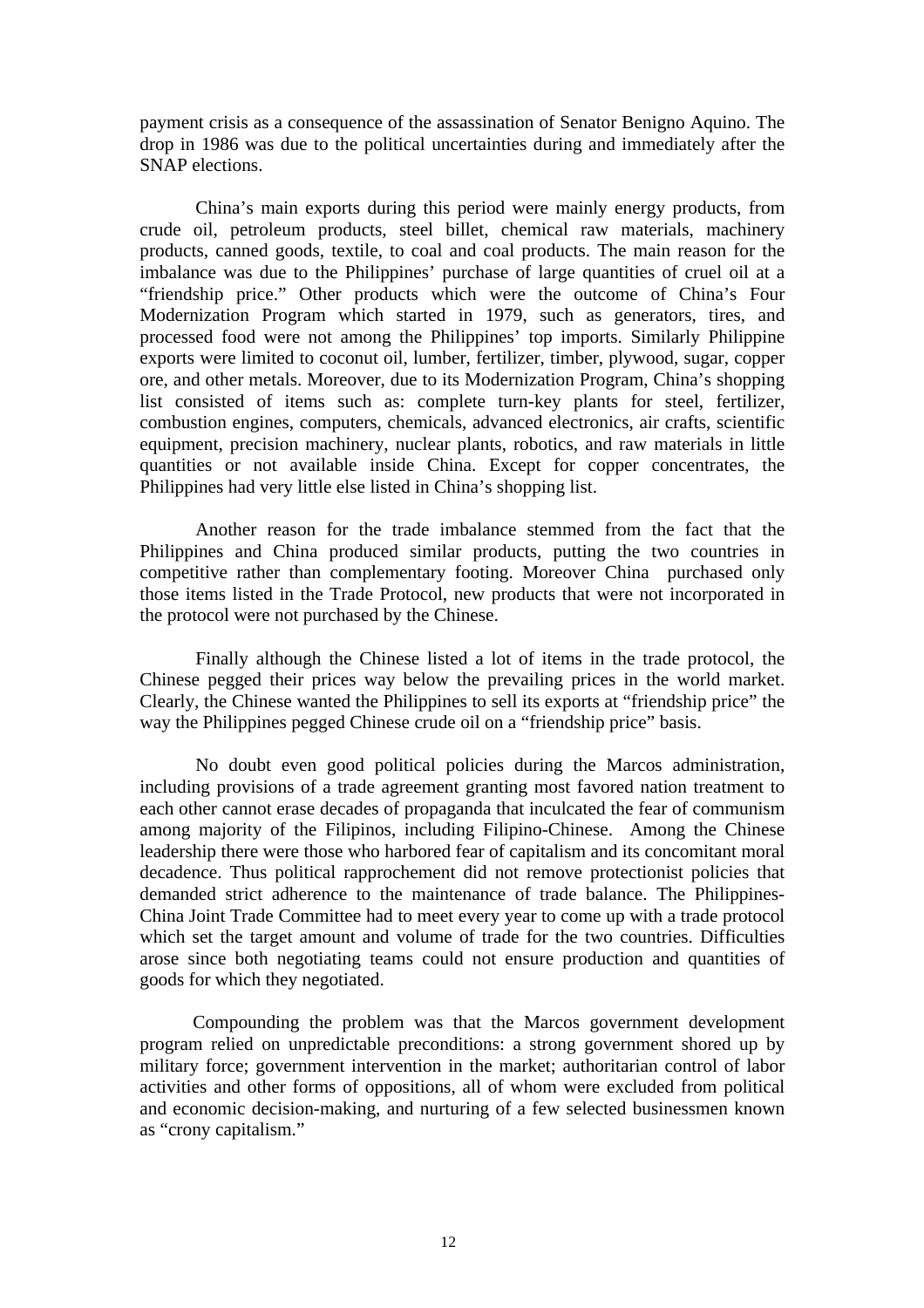payment crisis as a consequence of the assassination of Senator Benigno Aquino. The drop in 1986 was due to the political uncertainties during and immediately after the SNAP elections.

China's main exports during this period were mainly energy products, from crude oil, petroleum products, steel billet, chemical raw materials, machinery products, canned goods, textile, to coal and coal products. The main reason for the imbalance was due to the Philippines' purchase of large quantities of cruel oil at a "friendship price." Other products which were the outcome of China's Four Modernization Program which started in 1979, such as generators, tires, and processed food were not among the Philippines' top imports. Similarly Philippine exports were limited to coconut oil, lumber, fertilizer, timber, plywood, sugar, copper ore, and other metals. Moreover, due to its Modernization Program, China's shopping list consisted of items such as: complete turn-key plants for steel, fertilizer, combustion engines, computers, chemicals, advanced electronics, air crafts, scientific equipment, precision machinery, nuclear plants, robotics, and raw materials in little quantities or not available inside China. Except for copper concentrates, the Philippines had very little else listed in China's shopping list.

Another reason for the trade imbalance stemmed from the fact that the Philippines and China produced similar products, putting the two countries in competitive rather than complementary footing. Moreover China purchased only those items listed in the Trade Protocol, new products that were not incorporated in the protocol were not purchased by the Chinese.

Finally although the Chinese listed a lot of items in the trade protocol, the Chinese pegged their prices way below the prevailing prices in the world market. Clearly, the Chinese wanted the Philippines to sell its exports at "friendship price" the way the Philippines pegged Chinese crude oil on a "friendship price" basis.

No doubt even good political policies during the Marcos administration, including provisions of a trade agreement granting most favored nation treatment to each other cannot erase decades of propaganda that inculcated the fear of communism among majority of the Filipinos, including Filipino-Chinese. Among the Chinese leadership there were those who harbored fear of capitalism and its concomitant moral decadence. Thus political rapprochement did not remove protectionist policies that demanded strict adherence to the maintenance of trade balance. The Philippines-China Joint Trade Committee had to meet every year to come up with a trade protocol which set the target amount and volume of trade for the two countries. Difficulties arose since both negotiating teams could not ensure production and quantities of goods for which they negotiated.

Compounding the problem was that the Marcos government development program relied on unpredictable preconditions: a strong government shored up by military force; government intervention in the market; authoritarian control of labor activities and other forms of oppositions, all of whom were excluded from political and economic decision-making, and nurturing of a few selected businessmen known as "crony capitalism."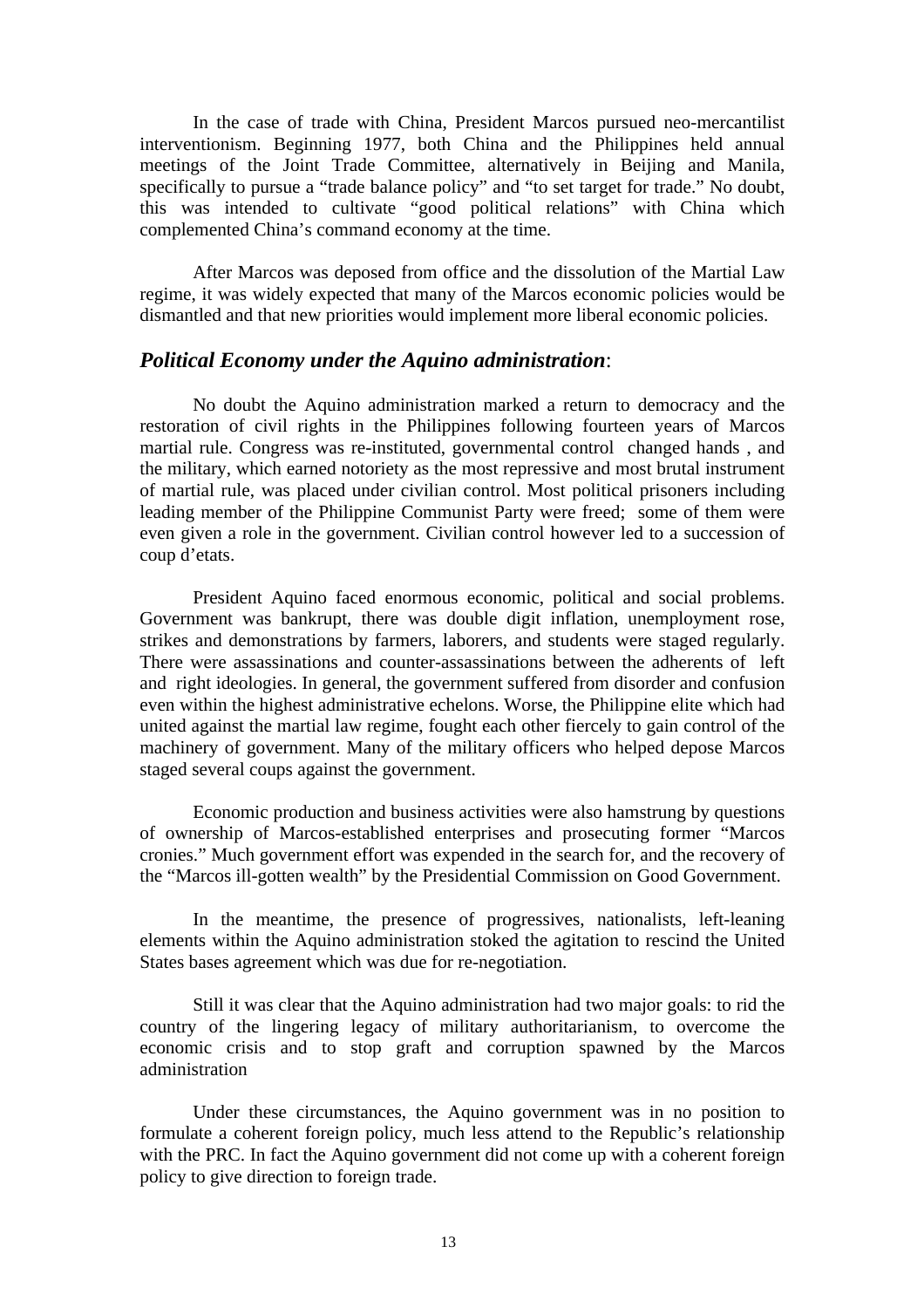In the case of trade with China, President Marcos pursued neo-mercantilist interventionism. Beginning 1977, both China and the Philippines held annual meetings of the Joint Trade Committee, alternatively in Beijing and Manila, specifically to pursue a "trade balance policy" and "to set target for trade." No doubt, this was intended to cultivate "good political relations" with China which complemented China's command economy at the time.

After Marcos was deposed from office and the dissolution of the Martial Law regime, it was widely expected that many of the Marcos economic policies would be dismantled and that new priorities would implement more liberal economic policies.

#### *Political Economy under the Aquino administration*:

No doubt the Aquino administration marked a return to democracy and the restoration of civil rights in the Philippines following fourteen years of Marcos martial rule. Congress was re-instituted, governmental control changed hands , and the military, which earned notoriety as the most repressive and most brutal instrument of martial rule, was placed under civilian control. Most political prisoners including leading member of the Philippine Communist Party were freed; some of them were even given a role in the government. Civilian control however led to a succession of coup d'etats.

President Aquino faced enormous economic, political and social problems. Government was bankrupt, there was double digit inflation, unemployment rose, strikes and demonstrations by farmers, laborers, and students were staged regularly. There were assassinations and counter-assassinations between the adherents of left and right ideologies. In general, the government suffered from disorder and confusion even within the highest administrative echelons. Worse, the Philippine elite which had united against the martial law regime, fought each other fiercely to gain control of the machinery of government. Many of the military officers who helped depose Marcos staged several coups against the government.

Economic production and business activities were also hamstrung by questions of ownership of Marcos-established enterprises and prosecuting former "Marcos cronies." Much government effort was expended in the search for, and the recovery of the "Marcos ill-gotten wealth" by the Presidential Commission on Good Government.

In the meantime, the presence of progressives, nationalists, left-leaning elements within the Aquino administration stoked the agitation to rescind the United States bases agreement which was due for re-negotiation.

Still it was clear that the Aquino administration had two major goals: to rid the country of the lingering legacy of military authoritarianism, to overcome the economic crisis and to stop graft and corruption spawned by the Marcos administration

Under these circumstances, the Aquino government was in no position to formulate a coherent foreign policy, much less attend to the Republic's relationship with the PRC. In fact the Aquino government did not come up with a coherent foreign policy to give direction to foreign trade.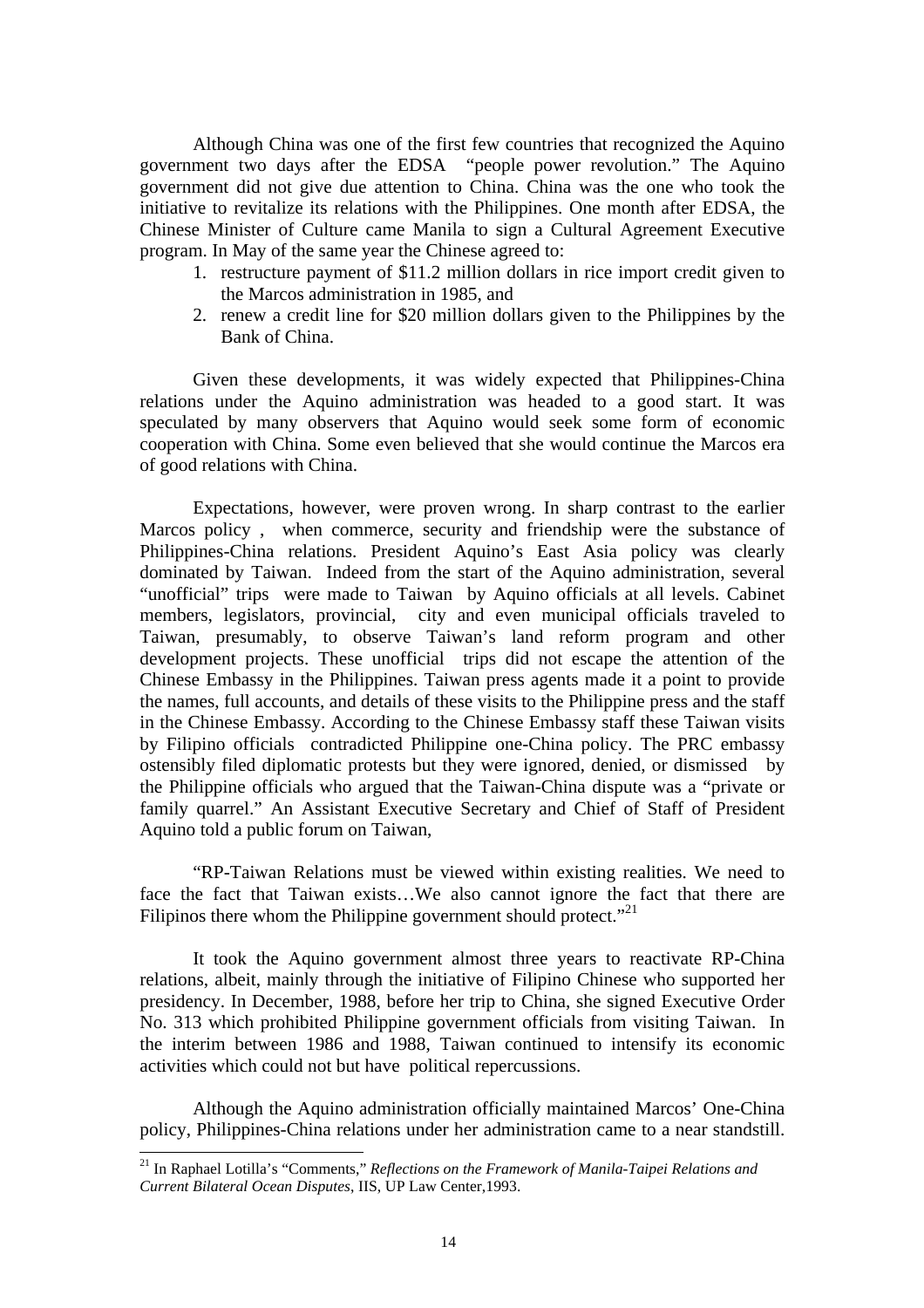Although China was one of the first few countries that recognized the Aquino government two days after the EDSA "people power revolution." The Aquino government did not give due attention to China. China was the one who took the initiative to revitalize its relations with the Philippines. One month after EDSA, the Chinese Minister of Culture came Manila to sign a Cultural Agreement Executive program. In May of the same year the Chinese agreed to:

- 1. restructure payment of \$11.2 million dollars in rice import credit given to the Marcos administration in 1985, and
- 2. renew a credit line for \$20 million dollars given to the Philippines by the Bank of China.

Given these developments, it was widely expected that Philippines-China relations under the Aquino administration was headed to a good start. It was speculated by many observers that Aquino would seek some form of economic cooperation with China. Some even believed that she would continue the Marcos era of good relations with China.

Expectations, however, were proven wrong. In sharp contrast to the earlier Marcos policy , when commerce, security and friendship were the substance of Philippines-China relations. President Aquino's East Asia policy was clearly dominated by Taiwan. Indeed from the start of the Aquino administration, several "unofficial" trips were made to Taiwan by Aquino officials at all levels. Cabinet members, legislators, provincial, city and even municipal officials traveled to Taiwan, presumably, to observe Taiwan's land reform program and other development projects. These unofficial trips did not escape the attention of the Chinese Embassy in the Philippines. Taiwan press agents made it a point to provide the names, full accounts, and details of these visits to the Philippine press and the staff in the Chinese Embassy. According to the Chinese Embassy staff these Taiwan visits by Filipino officials contradicted Philippine one-China policy. The PRC embassy ostensibly filed diplomatic protests but they were ignored, denied, or dismissed by the Philippine officials who argued that the Taiwan-China dispute was a "private or family quarrel." An Assistant Executive Secretary and Chief of Staff of President Aquino told a public forum on Taiwan,

"RP-Taiwan Relations must be viewed within existing realities. We need to face the fact that Taiwan exists…We also cannot ignore the fact that there are Filipinos there whom the Philippine government should protect. $^{21}$ 

It took the Aquino government almost three years to reactivate RP-China relations, albeit, mainly through the initiative of Filipino Chinese who supported her presidency. In December, 1988, before her trip to China, she signed Executive Order No. 313 which prohibited Philippine government officials from visiting Taiwan. In the interim between 1986 and 1988, Taiwan continued to intensify its economic activities which could not but have political repercussions.

Although the Aquino administration officially maintained Marcos' One-China policy, Philippines-China relations under her administration came to a near standstill.

<sup>21</sup> In Raphael Lotilla's "Comments," *Reflections on the Framework of Manila-Taipei Relations and Current Bilateral Ocean Disputes*, IIS, UP Law Center,1993.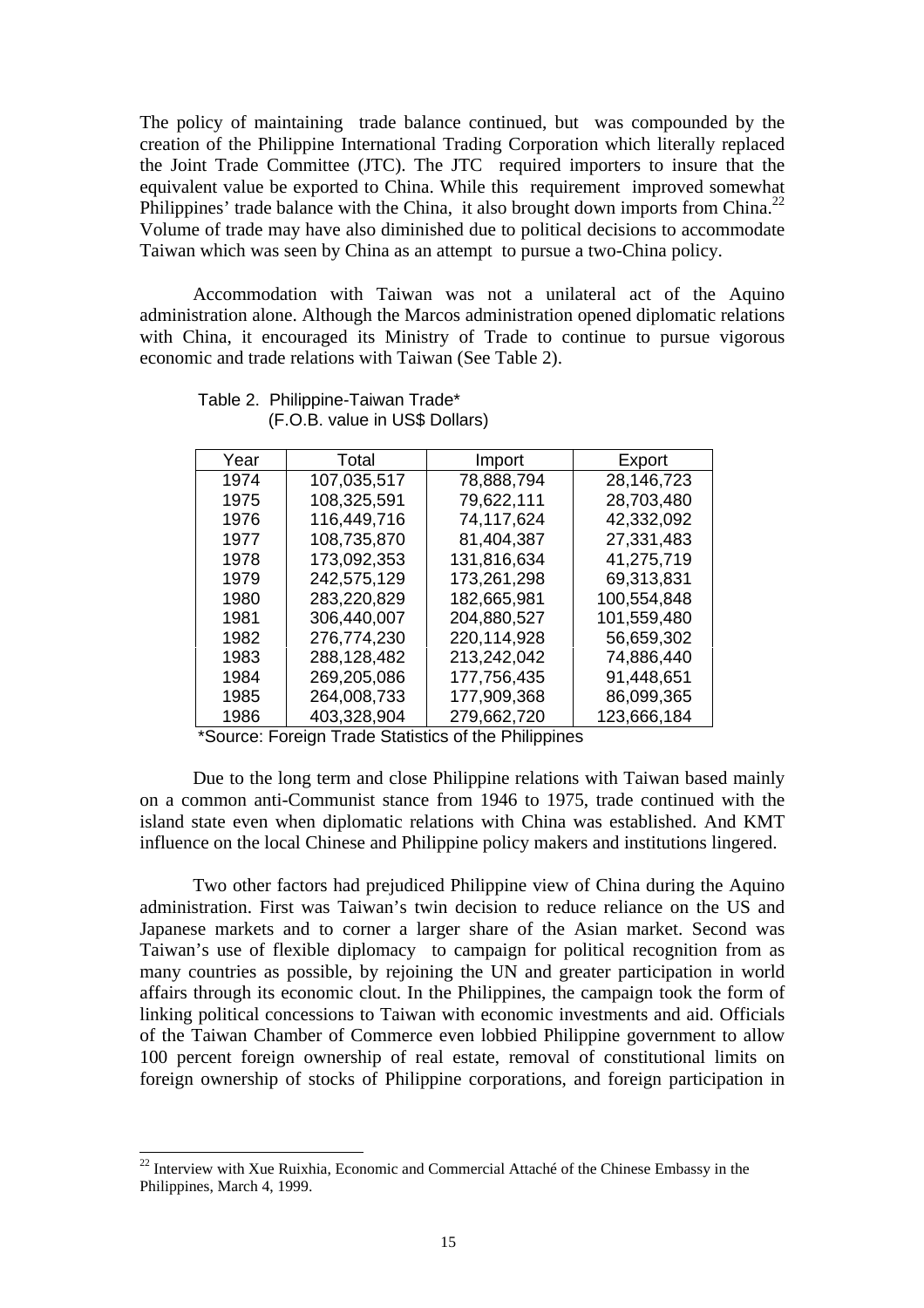The policy of maintaining trade balance continued, but was compounded by the creation of the Philippine International Trading Corporation which literally replaced the Joint Trade Committee (JTC). The JTC required importers to insure that the equivalent value be exported to China. While this requirement improved somewhat Philippines' trade balance with the China, it also brought down imports from China.<sup>22</sup> Volume of trade may have also diminished due to political decisions to accommodate Taiwan which was seen by China as an attempt to pursue a two-China policy.

Accommodation with Taiwan was not a unilateral act of the Aquino administration alone. Although the Marcos administration opened diplomatic relations with China, it encouraged its Ministry of Trade to continue to pursue vigorous economic and trade relations with Taiwan (See Table 2).

| Year | Total       | Import      | Export      |
|------|-------------|-------------|-------------|
| 1974 | 107,035,517 | 78,888,794  | 28,146,723  |
| 1975 | 108,325,591 | 79.622.111  | 28,703,480  |
| 1976 | 116,449,716 | 74,117,624  | 42,332,092  |
| 1977 | 108,735,870 | 81,404,387  | 27,331,483  |
| 1978 | 173,092,353 | 131,816,634 | 41,275,719  |
| 1979 | 242,575,129 | 173,261,298 | 69,313,831  |
| 1980 | 283,220,829 | 182,665,981 | 100,554,848 |
| 1981 | 306,440,007 | 204,880,527 | 101,559,480 |
| 1982 | 276,774,230 | 220,114,928 | 56,659,302  |
| 1983 | 288,128,482 | 213,242,042 | 74,886,440  |
| 1984 | 269,205,086 | 177,756,435 | 91,448,651  |
| 1985 | 264,008,733 | 177,909,368 | 86,099,365  |
| 1986 | 403,328,904 | 279,662,720 | 123,666,184 |

#### Table 2. Philippine-Taiwan Trade\* (F.O.B. value in US\$ Dollars)

\*Source: Foreign Trade Statistics of the Philippines

Due to the long term and close Philippine relations with Taiwan based mainly on a common anti-Communist stance from 1946 to 1975, trade continued with the island state even when diplomatic relations with China was established. And KMT influence on the local Chinese and Philippine policy makers and institutions lingered.

Two other factors had prejudiced Philippine view of China during the Aquino administration. First was Taiwan's twin decision to reduce reliance on the US and Japanese markets and to corner a larger share of the Asian market. Second was Taiwan's use of flexible diplomacy to campaign for political recognition from as many countries as possible, by rejoining the UN and greater participation in world affairs through its economic clout. In the Philippines, the campaign took the form of linking political concessions to Taiwan with economic investments and aid. Officials of the Taiwan Chamber of Commerce even lobbied Philippine government to allow 100 percent foreign ownership of real estate, removal of constitutional limits on foreign ownership of stocks of Philippine corporations, and foreign participation in

 $22$  Interview with Xue Ruixhia, Economic and Commercial Attaché of the Chinese Embassy in the Philippines, March 4, 1999.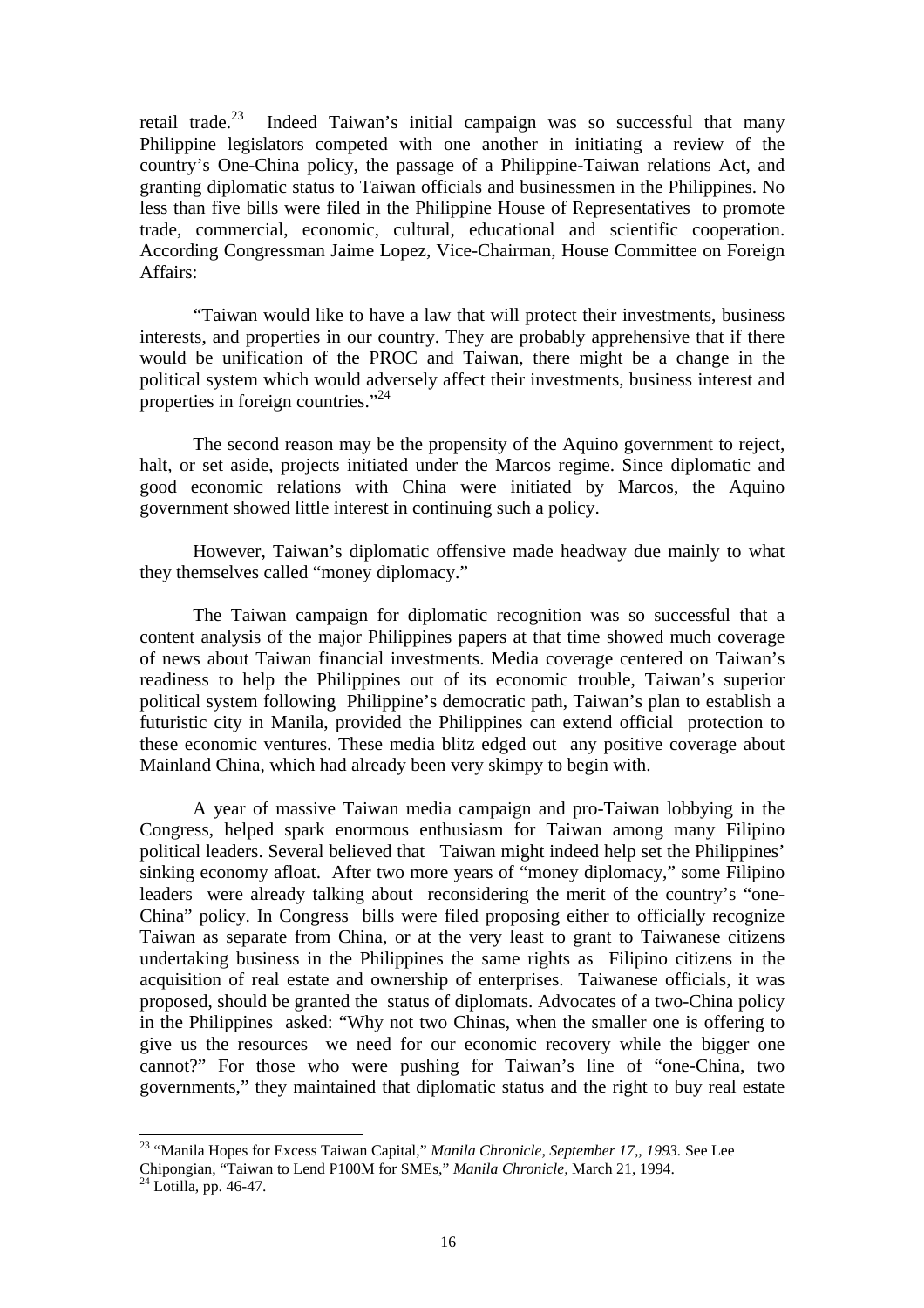retail trade.<sup>23</sup> Indeed Taiwan's initial campaign was so successful that many Philippine legislators competed with one another in initiating a review of the country's One-China policy, the passage of a Philippine-Taiwan relations Act, and granting diplomatic status to Taiwan officials and businessmen in the Philippines. No less than five bills were filed in the Philippine House of Representatives to promote trade, commercial, economic, cultural, educational and scientific cooperation. According Congressman Jaime Lopez, Vice-Chairman, House Committee on Foreign Affairs:

"Taiwan would like to have a law that will protect their investments, business interests, and properties in our country. They are probably apprehensive that if there would be unification of the PROC and Taiwan, there might be a change in the political system which would adversely affect their investments, business interest and properties in foreign countries."<sup>24</sup>

The second reason may be the propensity of the Aquino government to reject, halt, or set aside, projects initiated under the Marcos regime. Since diplomatic and good economic relations with China were initiated by Marcos, the Aquino government showed little interest in continuing such a policy.

However, Taiwan's diplomatic offensive made headway due mainly to what they themselves called "money diplomacy."

The Taiwan campaign for diplomatic recognition was so successful that a content analysis of the major Philippines papers at that time showed much coverage of news about Taiwan financial investments. Media coverage centered on Taiwan's readiness to help the Philippines out of its economic trouble, Taiwan's superior political system following Philippine's democratic path, Taiwan's plan to establish a futuristic city in Manila, provided the Philippines can extend official protection to these economic ventures. These media blitz edged out any positive coverage about Mainland China, which had already been very skimpy to begin with.

A year of massive Taiwan media campaign and pro-Taiwan lobbying in the Congress, helped spark enormous enthusiasm for Taiwan among many Filipino political leaders. Several believed that Taiwan might indeed help set the Philippines' sinking economy afloat. After two more years of "money diplomacy," some Filipino leaders were already talking about reconsidering the merit of the country's "one-China" policy. In Congress bills were filed proposing either to officially recognize Taiwan as separate from China, or at the very least to grant to Taiwanese citizens undertaking business in the Philippines the same rights as Filipino citizens in the acquisition of real estate and ownership of enterprises. Taiwanese officials, it was proposed, should be granted the status of diplomats. Advocates of a two-China policy in the Philippines asked: "Why not two Chinas, when the smaller one is offering to give us the resources we need for our economic recovery while the bigger one cannot?" For those who were pushing for Taiwan's line of "one-China, two governments," they maintained that diplomatic status and the right to buy real estate

<sup>23</sup> "Manila Hopes for Excess Taiwan Capital," *Manila Chronicle, September 17,, 1993.* See Lee

Chipongian, "Taiwan to Lend P100M for SMEs," *Manila Chronicle,* March 21, 1994.

 $24$  Lotilla, pp. 46-47.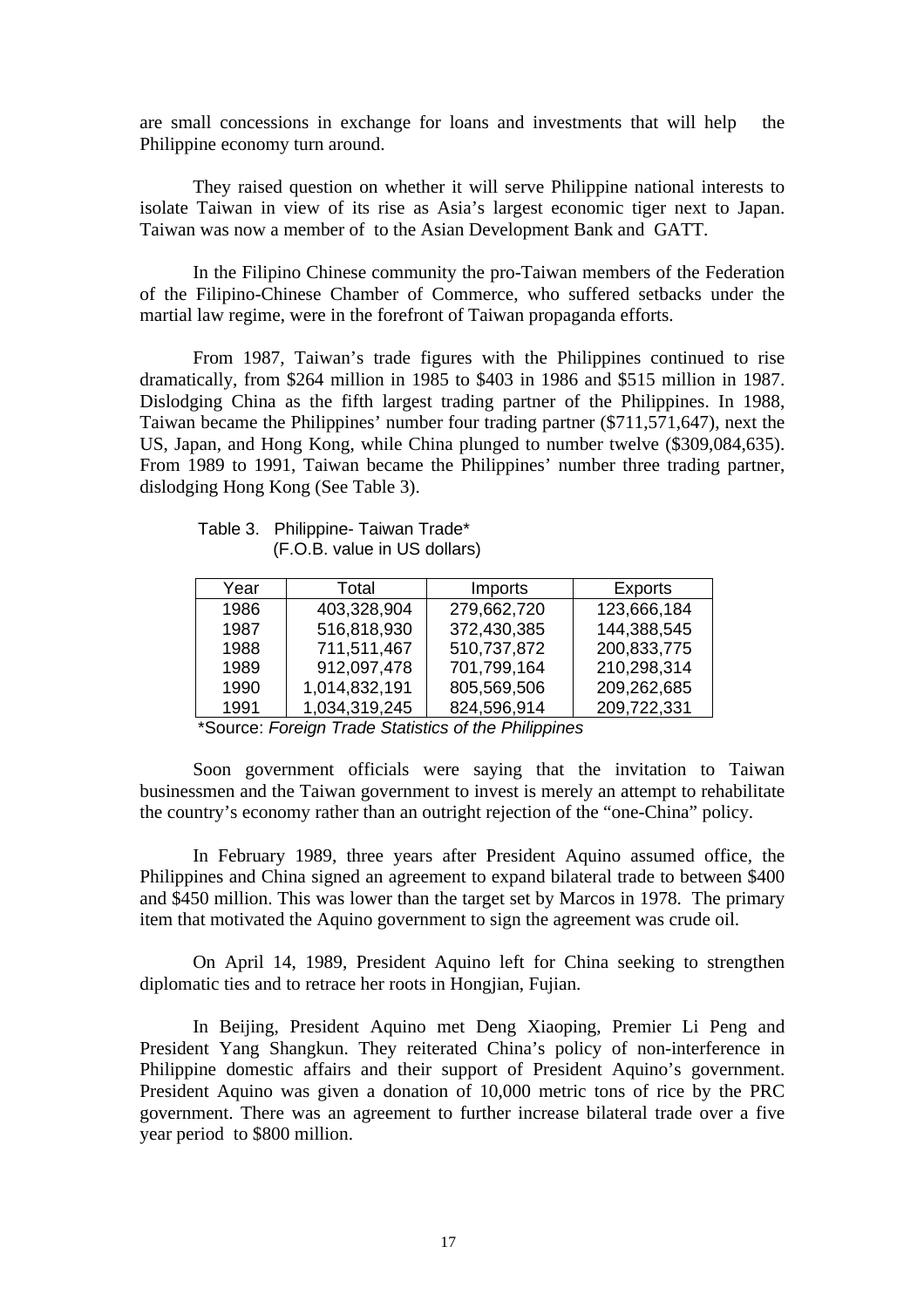are small concessions in exchange for loans and investments that will help the Philippine economy turn around.

They raised question on whether it will serve Philippine national interests to isolate Taiwan in view of its rise as Asia's largest economic tiger next to Japan. Taiwan was now a member of to the Asian Development Bank and GATT.

In the Filipino Chinese community the pro-Taiwan members of the Federation of the Filipino-Chinese Chamber of Commerce, who suffered setbacks under the martial law regime, were in the forefront of Taiwan propaganda efforts.

From 1987, Taiwan's trade figures with the Philippines continued to rise dramatically, from \$264 million in 1985 to \$403 in 1986 and \$515 million in 1987. Dislodging China as the fifth largest trading partner of the Philippines. In 1988, Taiwan became the Philippines' number four trading partner (\$711,571,647), next the US, Japan, and Hong Kong, while China plunged to number twelve (\$309,084,635). From 1989 to 1991, Taiwan became the Philippines' number three trading partner, dislodging Hong Kong (See Table 3).

Table 3. Philippine- Taiwan Trade\* (F.O.B. value in US dollars)

| Year | Total         | Imports     | <b>Exports</b> |
|------|---------------|-------------|----------------|
| 1986 | 403,328,904   | 279,662,720 | 123,666,184    |
| 1987 | 516,818,930   | 372,430,385 | 144,388,545    |
| 1988 | 711,511,467   | 510,737,872 | 200,833,775    |
| 1989 | 912,097,478   | 701,799,164 | 210,298,314    |
| 1990 | 1,014,832,191 | 805,569,506 | 209,262,685    |
| 1991 | 1,034,319,245 | 824,596,914 | 209,722,331    |

\*Source: *Foreign Trade Statistics of the Philippines*

Soon government officials were saying that the invitation to Taiwan businessmen and the Taiwan government to invest is merely an attempt to rehabilitate the country's economy rather than an outright rejection of the "one-China" policy.

In February 1989, three years after President Aquino assumed office, the Philippines and China signed an agreement to expand bilateral trade to between \$400 and \$450 million. This was lower than the target set by Marcos in 1978. The primary item that motivated the Aquino government to sign the agreement was crude oil.

On April 14, 1989, President Aquino left for China seeking to strengthen diplomatic ties and to retrace her roots in Hongjian, Fujian.

In Beijing, President Aquino met Deng Xiaoping, Premier Li Peng and President Yang Shangkun. They reiterated China's policy of non-interference in Philippine domestic affairs and their support of President Aquino's government. President Aquino was given a donation of 10,000 metric tons of rice by the PRC government. There was an agreement to further increase bilateral trade over a five year period to \$800 million.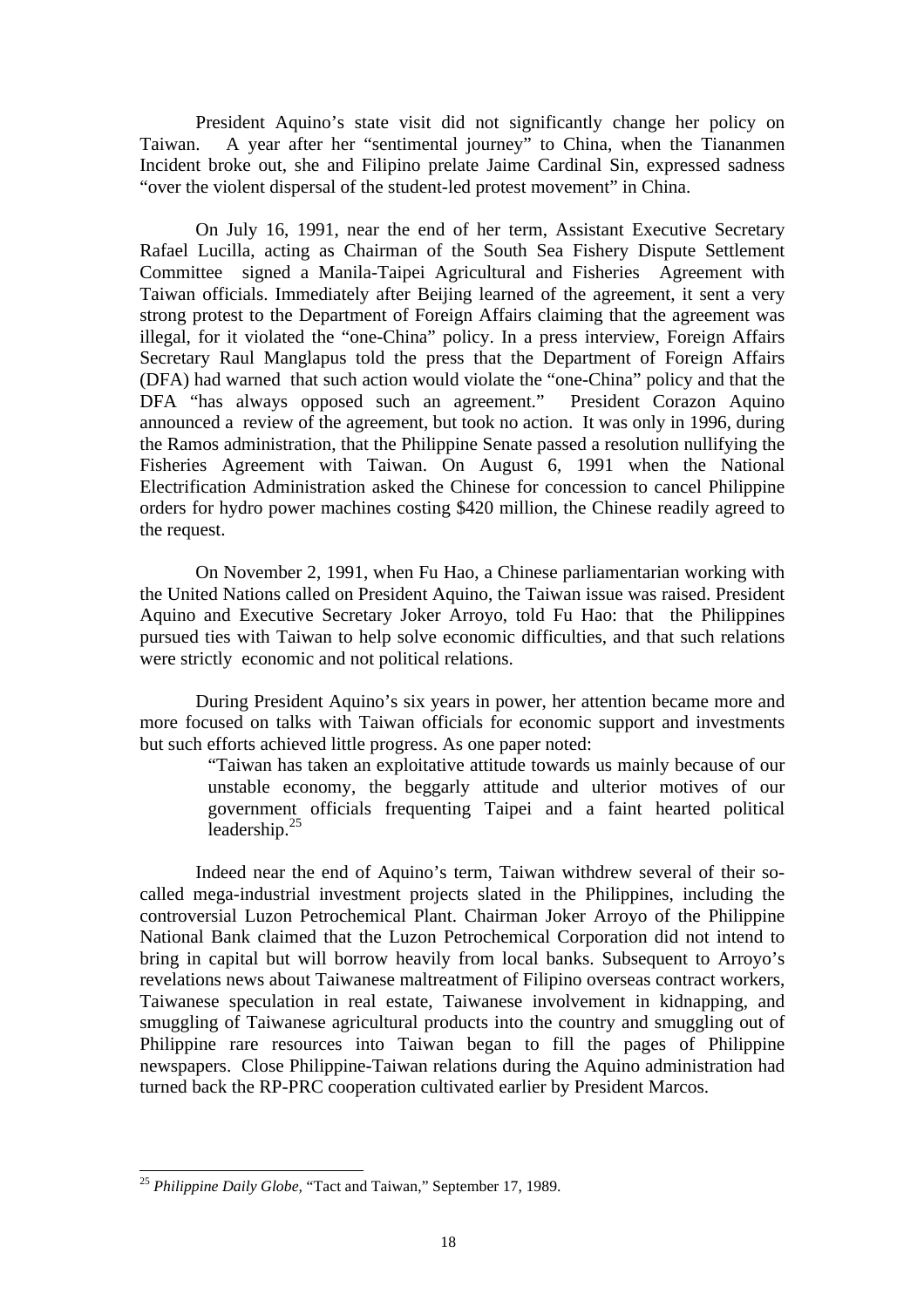President Aquino's state visit did not significantly change her policy on Taiwan. A year after her "sentimental journey" to China, when the Tiananmen Incident broke out, she and Filipino prelate Jaime Cardinal Sin, expressed sadness "over the violent dispersal of the student-led protest movement" in China.

On July 16, 1991, near the end of her term, Assistant Executive Secretary Rafael Lucilla, acting as Chairman of the South Sea Fishery Dispute Settlement Committee signed a Manila-Taipei Agricultural and Fisheries Agreement with Taiwan officials. Immediately after Beijing learned of the agreement, it sent a very strong protest to the Department of Foreign Affairs claiming that the agreement was illegal, for it violated the "one-China" policy. In a press interview, Foreign Affairs Secretary Raul Manglapus told the press that the Department of Foreign Affairs (DFA) had warned that such action would violate the "one-China" policy and that the DFA "has always opposed such an agreement." President Corazon Aquino announced a review of the agreement, but took no action. It was only in 1996, during the Ramos administration, that the Philippine Senate passed a resolution nullifying the Fisheries Agreement with Taiwan. On August 6, 1991 when the National Electrification Administration asked the Chinese for concession to cancel Philippine orders for hydro power machines costing \$420 million, the Chinese readily agreed to the request.

On November 2, 1991, when Fu Hao, a Chinese parliamentarian working with the United Nations called on President Aquino, the Taiwan issue was raised. President Aquino and Executive Secretary Joker Arroyo, told Fu Hao: that the Philippines pursued ties with Taiwan to help solve economic difficulties, and that such relations were strictly economic and not political relations.

During President Aquino's six years in power, her attention became more and more focused on talks with Taiwan officials for economic support and investments but such efforts achieved little progress. As one paper noted:

> "Taiwan has taken an exploitative attitude towards us mainly because of our unstable economy, the beggarly attitude and ulterior motives of our government officials frequenting Taipei and a faint hearted political leadership.<sup>25</sup>

Indeed near the end of Aquino's term, Taiwan withdrew several of their socalled mega-industrial investment projects slated in the Philippines, including the controversial Luzon Petrochemical Plant. Chairman Joker Arroyo of the Philippine National Bank claimed that the Luzon Petrochemical Corporation did not intend to bring in capital but will borrow heavily from local banks. Subsequent to Arroyo's revelations news about Taiwanese maltreatment of Filipino overseas contract workers, Taiwanese speculation in real estate, Taiwanese involvement in kidnapping, and smuggling of Taiwanese agricultural products into the country and smuggling out of Philippine rare resources into Taiwan began to fill the pages of Philippine newspapers. Close Philippine-Taiwan relations during the Aquino administration had turned back the RP-PRC cooperation cultivated earlier by President Marcos.

<sup>25</sup> *Philippine Daily Globe,* "Tact and Taiwan," September 17, 1989.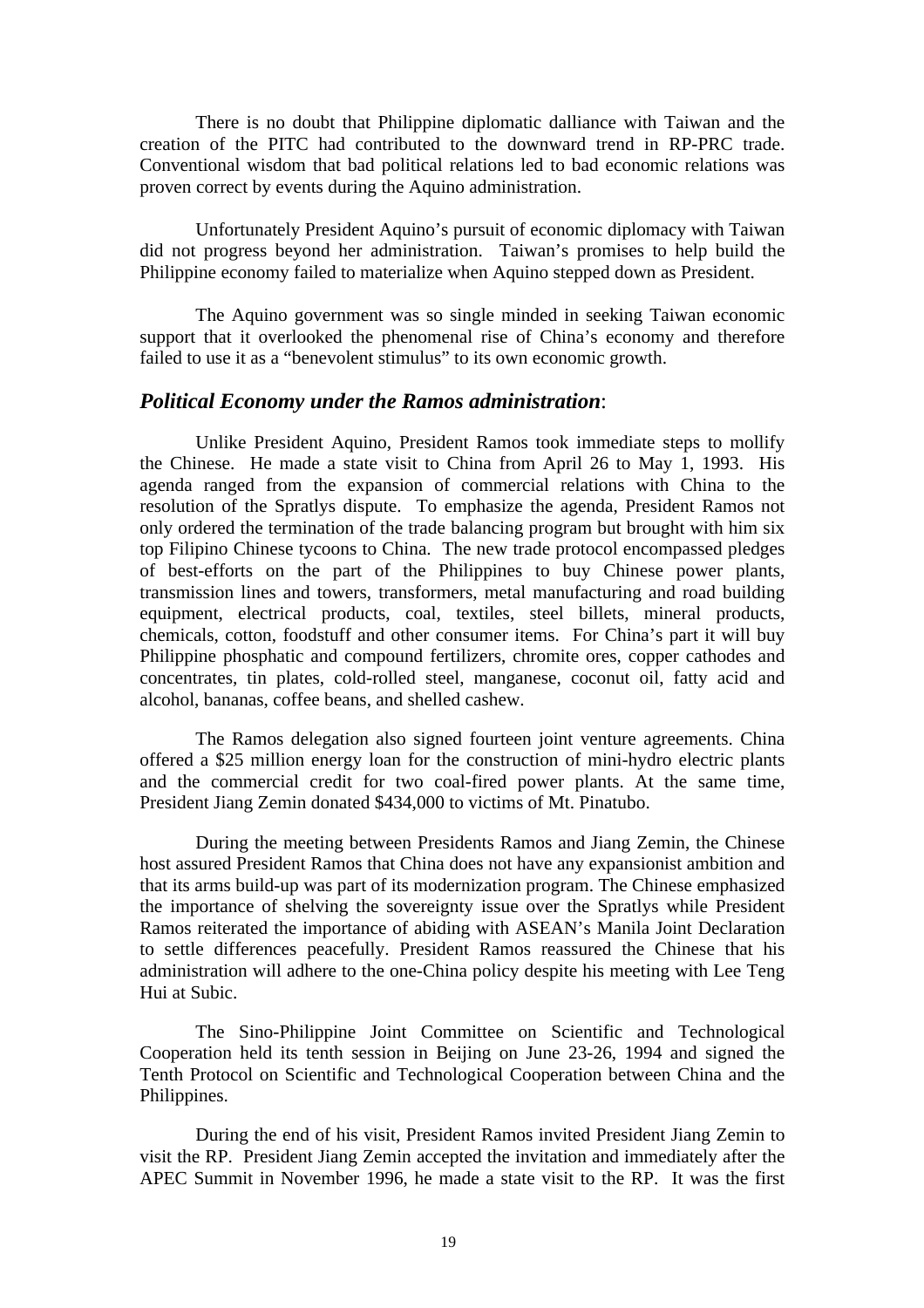There is no doubt that Philippine diplomatic dalliance with Taiwan and the creation of the PITC had contributed to the downward trend in RP-PRC trade. Conventional wisdom that bad political relations led to bad economic relations was proven correct by events during the Aquino administration.

Unfortunately President Aquino's pursuit of economic diplomacy with Taiwan did not progress beyond her administration. Taiwan's promises to help build the Philippine economy failed to materialize when Aquino stepped down as President.

The Aquino government was so single minded in seeking Taiwan economic support that it overlooked the phenomenal rise of China's economy and therefore failed to use it as a "benevolent stimulus" to its own economic growth.

#### *Political Economy under the Ramos administration*:

Unlike President Aquino, President Ramos took immediate steps to mollify the Chinese. He made a state visit to China from April 26 to May 1, 1993. His agenda ranged from the expansion of commercial relations with China to the resolution of the Spratlys dispute. To emphasize the agenda, President Ramos not only ordered the termination of the trade balancing program but brought with him six top Filipino Chinese tycoons to China. The new trade protocol encompassed pledges of best-efforts on the part of the Philippines to buy Chinese power plants, transmission lines and towers, transformers, metal manufacturing and road building equipment, electrical products, coal, textiles, steel billets, mineral products, chemicals, cotton, foodstuff and other consumer items. For China's part it will buy Philippine phosphatic and compound fertilizers, chromite ores, copper cathodes and concentrates, tin plates, cold-rolled steel, manganese, coconut oil, fatty acid and alcohol, bananas, coffee beans, and shelled cashew.

The Ramos delegation also signed fourteen joint venture agreements. China offered a \$25 million energy loan for the construction of mini-hydro electric plants and the commercial credit for two coal-fired power plants. At the same time, President Jiang Zemin donated \$434,000 to victims of Mt. Pinatubo.

During the meeting between Presidents Ramos and Jiang Zemin, the Chinese host assured President Ramos that China does not have any expansionist ambition and that its arms build-up was part of its modernization program. The Chinese emphasized the importance of shelving the sovereignty issue over the Spratlys while President Ramos reiterated the importance of abiding with ASEAN's Manila Joint Declaration to settle differences peacefully. President Ramos reassured the Chinese that his administration will adhere to the one-China policy despite his meeting with Lee Teng Hui at Subic.

The Sino-Philippine Joint Committee on Scientific and Technological Cooperation held its tenth session in Beijing on June 23-26, 1994 and signed the Tenth Protocol on Scientific and Technological Cooperation between China and the Philippines.

During the end of his visit, President Ramos invited President Jiang Zemin to visit the RP. President Jiang Zemin accepted the invitation and immediately after the APEC Summit in November 1996, he made a state visit to the RP. It was the first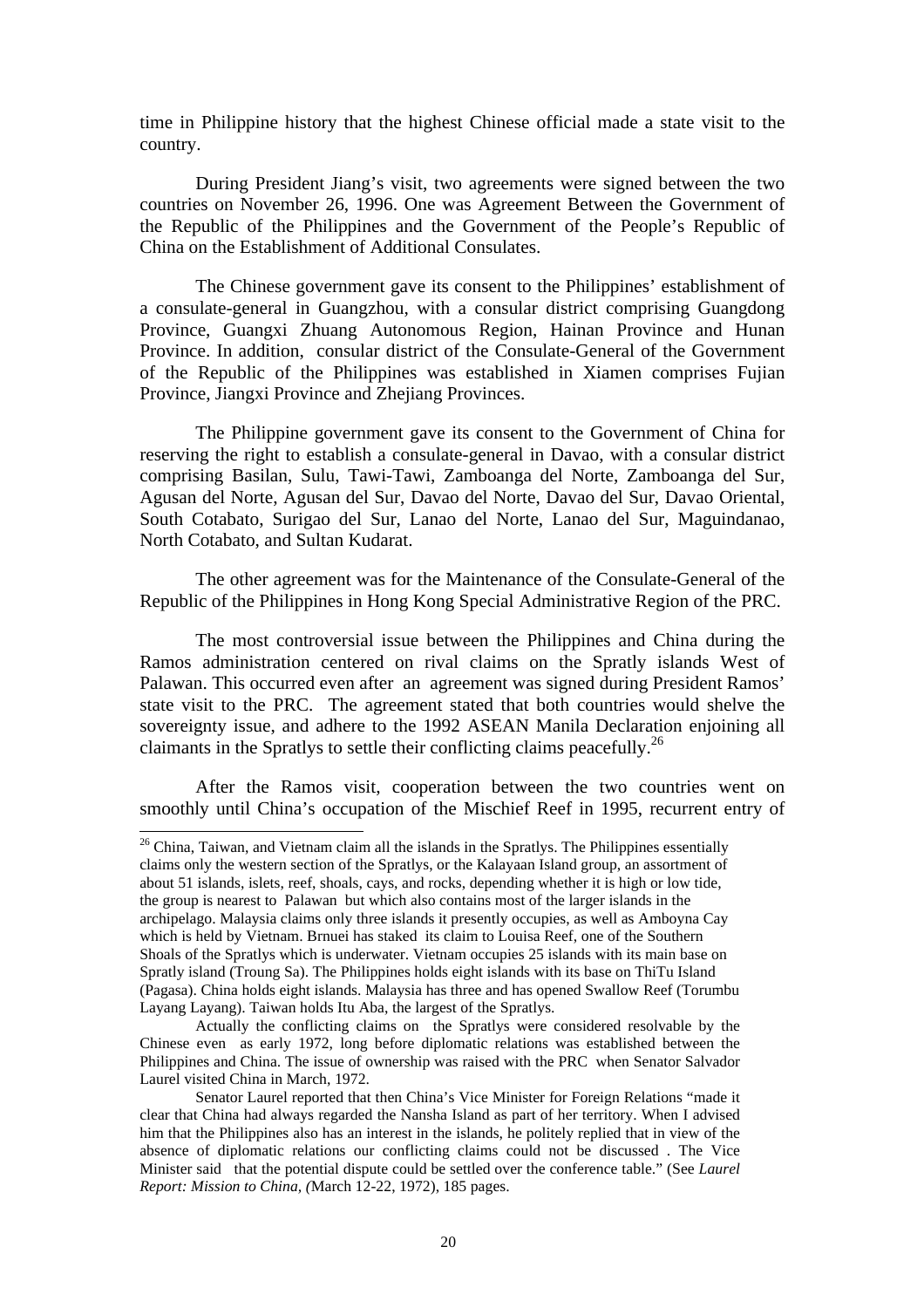time in Philippine history that the highest Chinese official made a state visit to the country.

During President Jiang's visit, two agreements were signed between the two countries on November 26, 1996. One was Agreement Between the Government of the Republic of the Philippines and the Government of the People's Republic of China on the Establishment of Additional Consulates.

The Chinese government gave its consent to the Philippines' establishment of a consulate-general in Guangzhou, with a consular district comprising Guangdong Province, Guangxi Zhuang Autonomous Region, Hainan Province and Hunan Province. In addition, consular district of the Consulate-General of the Government of the Republic of the Philippines was established in Xiamen comprises Fujian Province, Jiangxi Province and Zhejiang Provinces.

The Philippine government gave its consent to the Government of China for reserving the right to establish a consulate-general in Davao, with a consular district comprising Basilan, Sulu, Tawi-Tawi, Zamboanga del Norte, Zamboanga del Sur, Agusan del Norte, Agusan del Sur, Davao del Norte, Davao del Sur, Davao Oriental, South Cotabato, Surigao del Sur, Lanao del Norte, Lanao del Sur, Maguindanao, North Cotabato, and Sultan Kudarat.

The other agreement was for the Maintenance of the Consulate-General of the Republic of the Philippines in Hong Kong Special Administrative Region of the PRC.

The most controversial issue between the Philippines and China during the Ramos administration centered on rival claims on the Spratly islands West of Palawan. This occurred even after an agreement was signed during President Ramos' state visit to the PRC. The agreement stated that both countries would shelve the sovereignty issue, and adhere to the 1992 ASEAN Manila Declaration enjoining all claimants in the Spratlys to settle their conflicting claims peacefully.<sup>26</sup>

After the Ramos visit, cooperation between the two countries went on smoothly until China's occupation of the Mischief Reef in 1995, recurrent entry of

<sup>&</sup>lt;sup>26</sup> China, Taiwan, and Vietnam claim all the islands in the Spratlys. The Philippines essentially claims only the western section of the Spratlys, or the Kalayaan Island group, an assortment of about 51 islands, islets, reef, shoals, cays, and rocks, depending whether it is high or low tide, the group is nearest to Palawan but which also contains most of the larger islands in the archipelago. Malaysia claims only three islands it presently occupies, as well as Amboyna Cay which is held by Vietnam. Brnuei has staked its claim to Louisa Reef, one of the Southern Shoals of the Spratlys which is underwater. Vietnam occupies 25 islands with its main base on Spratly island (Troung Sa). The Philippines holds eight islands with its base on ThiTu Island (Pagasa). China holds eight islands. Malaysia has three and has opened Swallow Reef (Torumbu Layang Layang). Taiwan holds Itu Aba, the largest of the Spratlys.

Actually the conflicting claims on the Spratlys were considered resolvable by the Chinese even as early 1972, long before diplomatic relations was established between the Philippines and China. The issue of ownership was raised with the PRC when Senator Salvador Laurel visited China in March, 1972.

Senator Laurel reported that then China's Vice Minister for Foreign Relations "made it clear that China had always regarded the Nansha Island as part of her territory. When I advised him that the Philippines also has an interest in the islands, he politely replied that in view of the absence of diplomatic relations our conflicting claims could not be discussed . The Vice Minister said that the potential dispute could be settled over the conference table." (See *Laurel Report: Mission to China, (*March 12-22, 1972), 185 pages.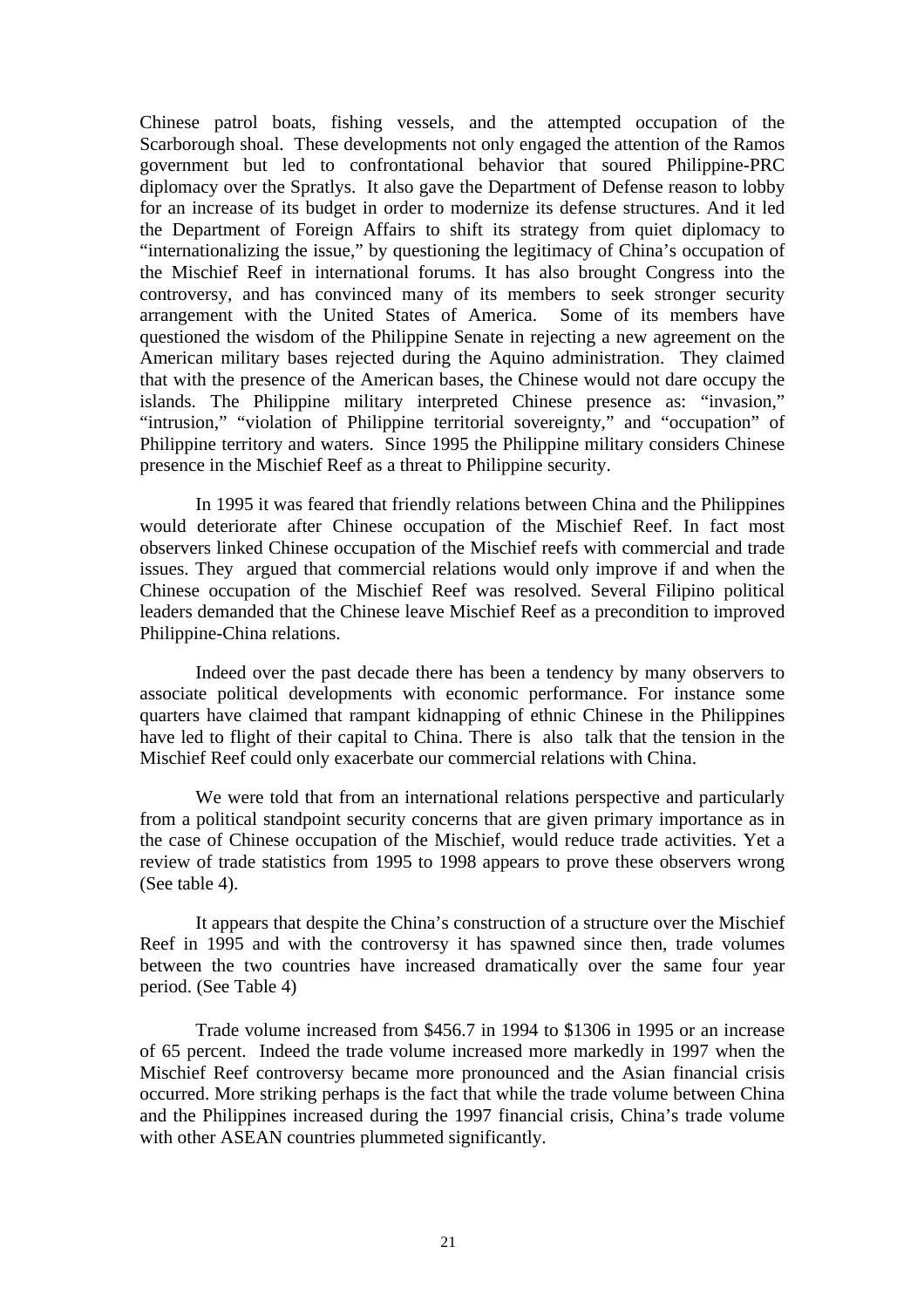Chinese patrol boats, fishing vessels, and the attempted occupation of the Scarborough shoal. These developments not only engaged the attention of the Ramos government but led to confrontational behavior that soured Philippine-PRC diplomacy over the Spratlys. It also gave the Department of Defense reason to lobby for an increase of its budget in order to modernize its defense structures. And it led the Department of Foreign Affairs to shift its strategy from quiet diplomacy to "internationalizing the issue," by questioning the legitimacy of China's occupation of the Mischief Reef in international forums. It has also brought Congress into the controversy, and has convinced many of its members to seek stronger security arrangement with the United States of America. Some of its members have questioned the wisdom of the Philippine Senate in rejecting a new agreement on the American military bases rejected during the Aquino administration. They claimed that with the presence of the American bases, the Chinese would not dare occupy the islands. The Philippine military interpreted Chinese presence as: "invasion," "intrusion," "violation of Philippine territorial sovereignty," and "occupation" of Philippine territory and waters. Since 1995 the Philippine military considers Chinese presence in the Mischief Reef as a threat to Philippine security.

In 1995 it was feared that friendly relations between China and the Philippines would deteriorate after Chinese occupation of the Mischief Reef. In fact most observers linked Chinese occupation of the Mischief reefs with commercial and trade issues. They argued that commercial relations would only improve if and when the Chinese occupation of the Mischief Reef was resolved. Several Filipino political leaders demanded that the Chinese leave Mischief Reef as a precondition to improved Philippine-China relations.

Indeed over the past decade there has been a tendency by many observers to associate political developments with economic performance. For instance some quarters have claimed that rampant kidnapping of ethnic Chinese in the Philippines have led to flight of their capital to China. There is also talk that the tension in the Mischief Reef could only exacerbate our commercial relations with China.

We were told that from an international relations perspective and particularly from a political standpoint security concerns that are given primary importance as in the case of Chinese occupation of the Mischief, would reduce trade activities. Yet a review of trade statistics from 1995 to 1998 appears to prove these observers wrong (See table 4).

It appears that despite the China's construction of a structure over the Mischief Reef in 1995 and with the controversy it has spawned since then, trade volumes between the two countries have increased dramatically over the same four year period. (See Table 4)

Trade volume increased from \$456.7 in 1994 to \$1306 in 1995 or an increase of 65 percent. Indeed the trade volume increased more markedly in 1997 when the Mischief Reef controversy became more pronounced and the Asian financial crisis occurred. More striking perhaps is the fact that while the trade volume between China and the Philippines increased during the 1997 financial crisis, China's trade volume with other ASEAN countries plummeted significantly.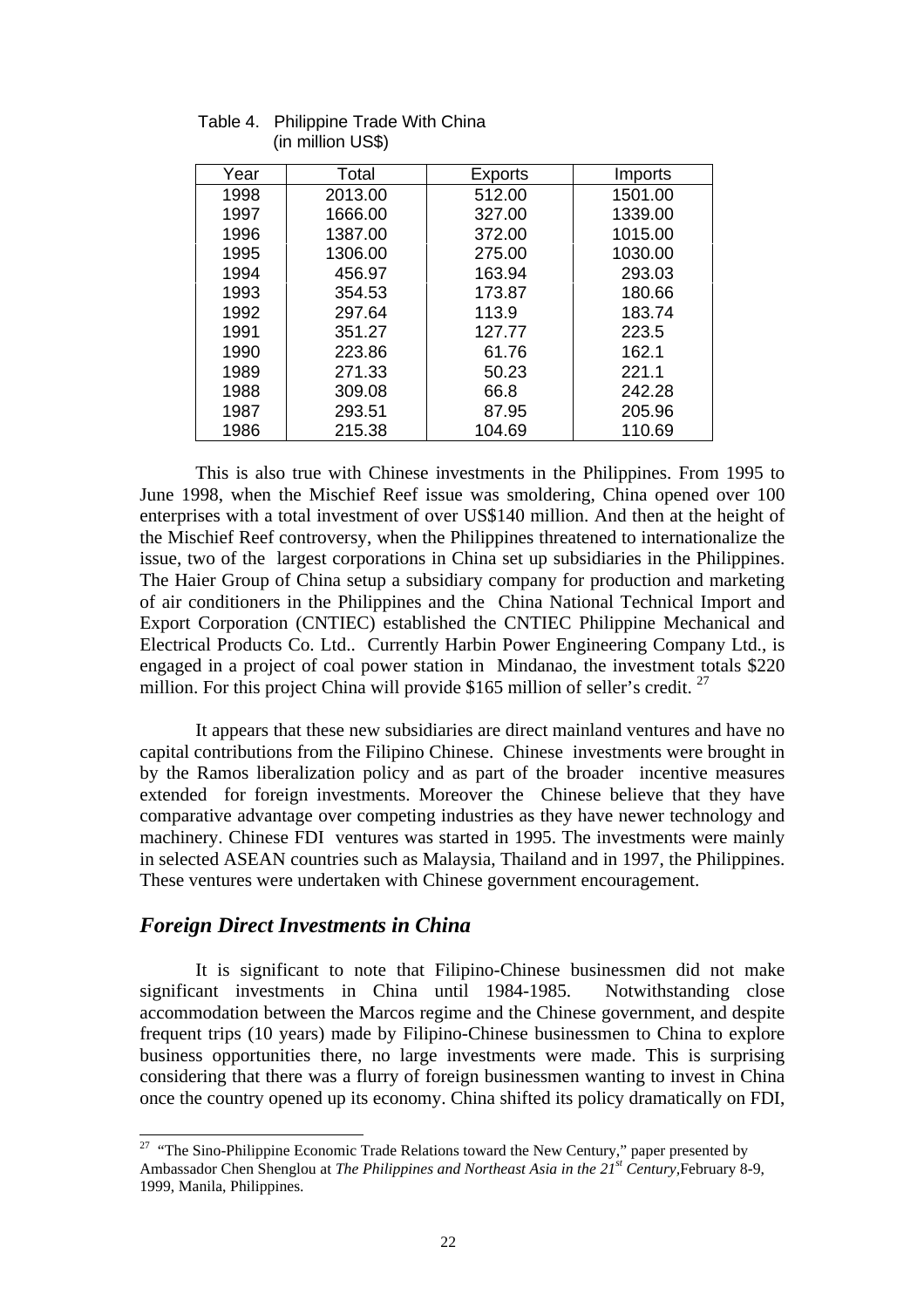| Year | Total   | <b>Exports</b> | Imports |
|------|---------|----------------|---------|
| 1998 | 2013.00 | 512.00         | 1501.00 |
| 1997 | 1666.00 | 327.00         | 1339.00 |
| 1996 | 1387.00 | 372.00         | 1015.00 |
| 1995 | 1306.00 | 275.00         | 1030.00 |
| 1994 | 456.97  | 163.94         | 293.03  |
| 1993 | 354.53  | 173.87         | 180.66  |
| 1992 | 297.64  | 113.9          | 183.74  |
| 1991 | 351.27  | 127.77         | 223.5   |
| 1990 | 223.86  | 61.76          | 162.1   |
| 1989 | 271.33  | 50.23          | 221.1   |
| 1988 | 309.08  | 66.8           | 242.28  |
| 1987 | 293.51  | 87.95          | 205.96  |
| 1986 | 215.38  | 104.69         | 110.69  |

Table 4. Philippine Trade With China (in million US\$)

This is also true with Chinese investments in the Philippines. From 1995 to June 1998, when the Mischief Reef issue was smoldering, China opened over 100 enterprises with a total investment of over US\$140 million. And then at the height of the Mischief Reef controversy, when the Philippines threatened to internationalize the issue, two of the largest corporations in China set up subsidiaries in the Philippines. The Haier Group of China setup a subsidiary company for production and marketing of air conditioners in the Philippines and the China National Technical Import and Export Corporation (CNTIEC) established the CNTIEC Philippine Mechanical and Electrical Products Co. Ltd.. Currently Harbin Power Engineering Company Ltd., is engaged in a project of coal power station in Mindanao, the investment totals \$220 million. For this project China will provide \$165 million of seller's credit.  $27$ 

It appears that these new subsidiaries are direct mainland ventures and have no capital contributions from the Filipino Chinese. Chinese investments were brought in by the Ramos liberalization policy and as part of the broader incentive measures extended for foreign investments. Moreover the Chinese believe that they have comparative advantage over competing industries as they have newer technology and machinery. Chinese FDI ventures was started in 1995. The investments were mainly in selected ASEAN countries such as Malaysia, Thailand and in 1997, the Philippines. These ventures were undertaken with Chinese government encouragement.

## *Foreign Direct Investments in China*

 $\overline{a}$ 

It is significant to note that Filipino-Chinese businessmen did not make significant investments in China until 1984-1985. Notwithstanding close accommodation between the Marcos regime and the Chinese government, and despite frequent trips (10 years) made by Filipino-Chinese businessmen to China to explore business opportunities there, no large investments were made. This is surprising considering that there was a flurry of foreign businessmen wanting to invest in China once the country opened up its economy. China shifted its policy dramatically on FDI,

<sup>&</sup>lt;sup>27</sup> "The Sino-Philippine Economic Trade Relations toward the New Century," paper presented by Ambassador Chen Shenglou at *The Philippines and Northeast Asia in the 21st Century,*February 8-9, 1999, Manila, Philippines.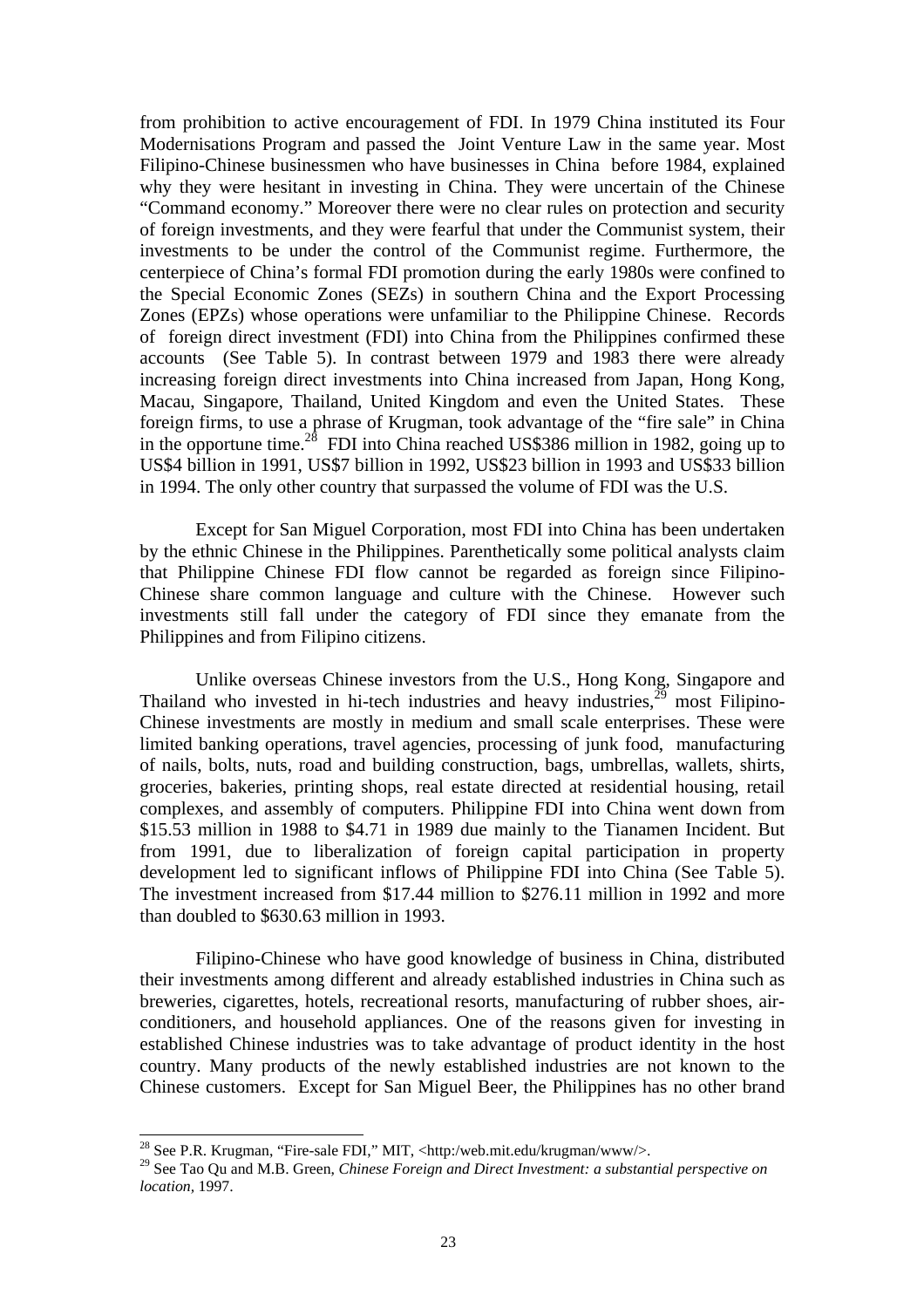from prohibition to active encouragement of FDI. In 1979 China instituted its Four Modernisations Program and passed the Joint Venture Law in the same year. Most Filipino-Chinese businessmen who have businesses in China before 1984, explained why they were hesitant in investing in China. They were uncertain of the Chinese "Command economy." Moreover there were no clear rules on protection and security of foreign investments, and they were fearful that under the Communist system, their investments to be under the control of the Communist regime. Furthermore, the centerpiece of China's formal FDI promotion during the early 1980s were confined to the Special Economic Zones (SEZs) in southern China and the Export Processing Zones (EPZs) whose operations were unfamiliar to the Philippine Chinese. Records of foreign direct investment (FDI) into China from the Philippines confirmed these accounts (See Table 5). In contrast between 1979 and 1983 there were already increasing foreign direct investments into China increased from Japan, Hong Kong, Macau, Singapore, Thailand, United Kingdom and even the United States. These foreign firms, to use a phrase of Krugman, took advantage of the "fire sale" in China in the opportune time.<sup>28</sup> FDI into China reached US\$386 million in 1982, going up to US\$4 billion in 1991, US\$7 billion in 1992, US\$23 billion in 1993 and US\$33 billion in 1994. The only other country that surpassed the volume of FDI was the U.S.

Except for San Miguel Corporation, most FDI into China has been undertaken by the ethnic Chinese in the Philippines. Parenthetically some political analysts claim that Philippine Chinese FDI flow cannot be regarded as foreign since Filipino-Chinese share common language and culture with the Chinese. However such investments still fall under the category of FDI since they emanate from the Philippines and from Filipino citizens.

Unlike overseas Chinese investors from the U.S., Hong Kong, Singapore and Thailand who invested in hi-tech industries and heavy industries,  $29$  most Filipino-Chinese investments are mostly in medium and small scale enterprises. These were limited banking operations, travel agencies, processing of junk food, manufacturing of nails, bolts, nuts, road and building construction, bags, umbrellas, wallets, shirts, groceries, bakeries, printing shops, real estate directed at residential housing, retail complexes, and assembly of computers. Philippine FDI into China went down from \$15.53 million in 1988 to \$4.71 in 1989 due mainly to the Tianamen Incident. But from 1991, due to liberalization of foreign capital participation in property development led to significant inflows of Philippine FDI into China (See Table 5). The investment increased from \$17.44 million to \$276.11 million in 1992 and more than doubled to \$630.63 million in 1993.

Filipino-Chinese who have good knowledge of business in China, distributed their investments among different and already established industries in China such as breweries, cigarettes, hotels, recreational resorts, manufacturing of rubber shoes, airconditioners, and household appliances. One of the reasons given for investing in established Chinese industries was to take advantage of product identity in the host country. Many products of the newly established industries are not known to the Chinese customers. Except for San Miguel Beer, the Philippines has no other brand

<sup>&</sup>lt;sup>28</sup> See P.R. Krugman, "Fire-sale FDI," MIT, <http:/web.mit.edu/krugman/www/>.

<sup>29</sup> See Tao Qu and M.B. Green, *Chinese Foreign and Direct Investment: a substantial perspective on location,* 1997.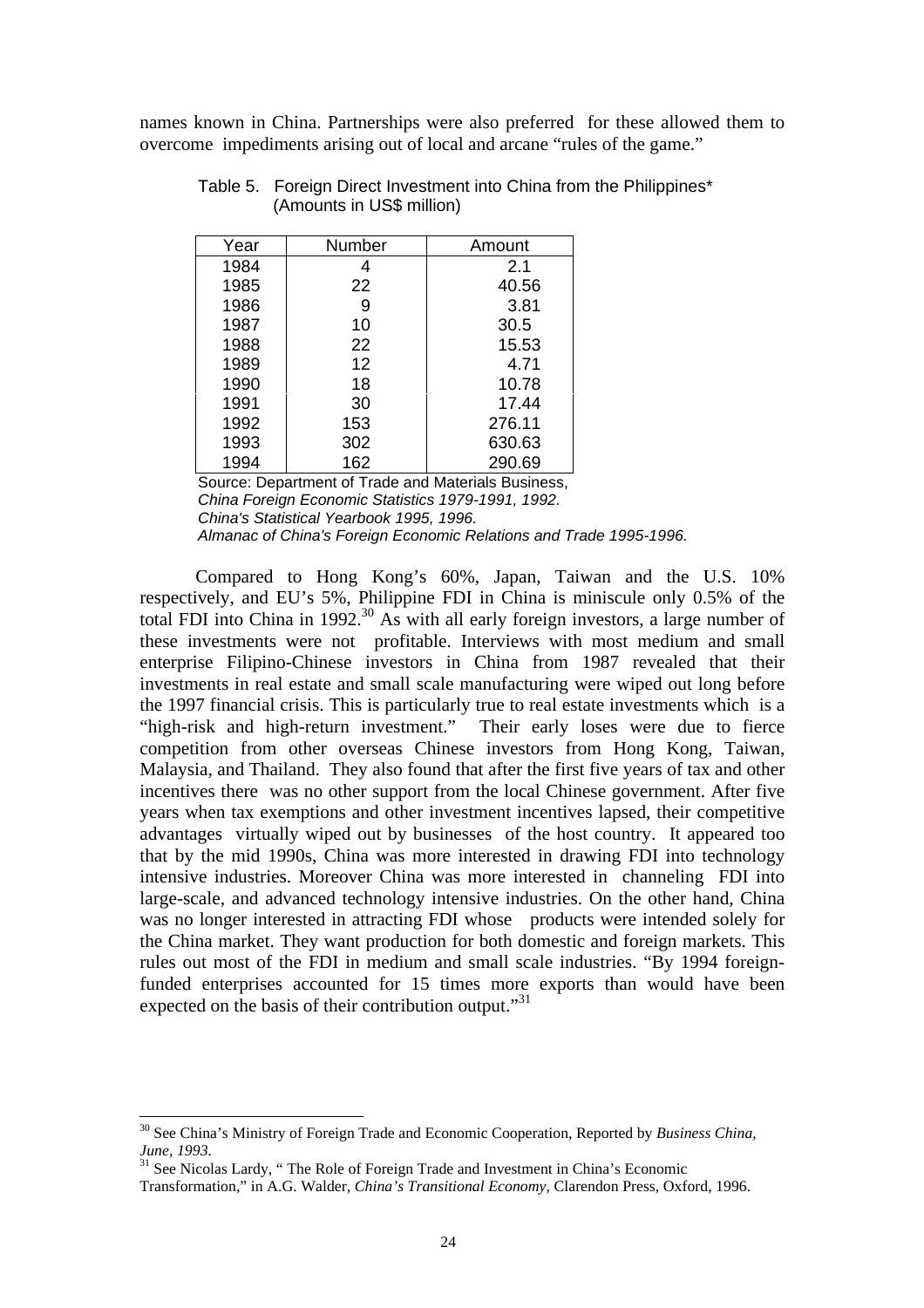names known in China. Partnerships were also preferred for these allowed them to overcome impediments arising out of local and arcane "rules of the game."

| Year | Number | Amount |
|------|--------|--------|
| 1984 |        | 2.1    |
| 1985 | 22     | 40.56  |
| 1986 | 9      | 3.81   |
| 1987 | 10     | 30.5   |
| 1988 | 22     | 15.53  |
| 1989 | 12     | 4.71   |
| 1990 | 18     | 10.78  |
| 1991 | 30     | 17.44  |
| 1992 | 153    | 276.11 |
| 1993 | 302    | 630.63 |
| 1994 | 162    | 290.69 |

Table 5. Foreign Direct Investment into China from the Philippines\* (Amounts in US\$ million)

Source: Department of Trade and Materials Business, *China Foreign Economic Statistics 1979-1991, 1992. China's Statistical Yearbook 1995, 1996. Almanac of China's Foreign Economic Relations and Trade 1995-1996.*

Compared to Hong Kong's 60%, Japan, Taiwan and the U.S. 10% respectively, and EU's 5%, Philippine FDI in China is miniscule only 0.5% of the total FDI into China in 1992.<sup>30</sup> As with all early foreign investors, a large number of these investments were not profitable. Interviews with most medium and small enterprise Filipino-Chinese investors in China from 1987 revealed that their investments in real estate and small scale manufacturing were wiped out long before the 1997 financial crisis. This is particularly true to real estate investments which is a "high-risk and high-return investment." Their early loses were due to fierce competition from other overseas Chinese investors from Hong Kong, Taiwan, Malaysia, and Thailand. They also found that after the first five years of tax and other incentives there was no other support from the local Chinese government. After five years when tax exemptions and other investment incentives lapsed, their competitive advantages virtually wiped out by businesses of the host country. It appeared too that by the mid 1990s, China was more interested in drawing FDI into technology intensive industries. Moreover China was more interested in channeling FDI into large-scale, and advanced technology intensive industries. On the other hand, China was no longer interested in attracting FDI whose products were intended solely for the China market. They want production for both domestic and foreign markets. This rules out most of the FDI in medium and small scale industries. "By 1994 foreignfunded enterprises accounted for 15 times more exports than would have been expected on the basis of their contribution output."<sup>31</sup>

<sup>30</sup> See China's Ministry of Foreign Trade and Economic Cooperation, Reported by *Business China, June, 1993.*

<sup>&</sup>lt;sup>31</sup> See Nicolas Lardy, "The Role of Foreign Trade and Investment in China's Economic

Transformation," in A.G. Walder, *China's Transitional Economy,* Clarendon Press, Oxford, 1996.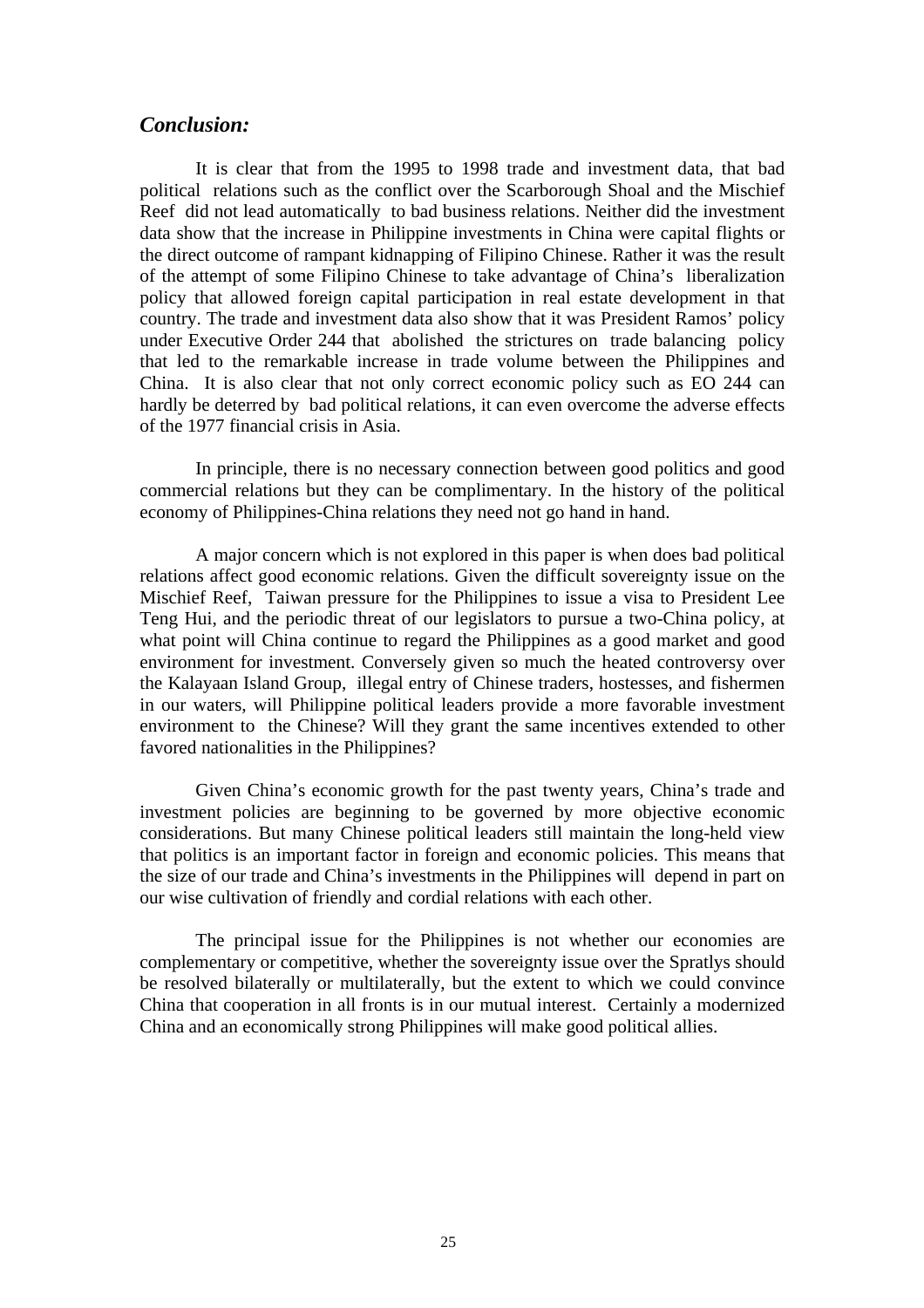#### *Conclusion:*

It is clear that from the 1995 to 1998 trade and investment data, that bad political relations such as the conflict over the Scarborough Shoal and the Mischief Reef did not lead automatically to bad business relations. Neither did the investment data show that the increase in Philippine investments in China were capital flights or the direct outcome of rampant kidnapping of Filipino Chinese. Rather it was the result of the attempt of some Filipino Chinese to take advantage of China's liberalization policy that allowed foreign capital participation in real estate development in that country. The trade and investment data also show that it was President Ramos' policy under Executive Order 244 that abolished the strictures on trade balancing policy that led to the remarkable increase in trade volume between the Philippines and China. It is also clear that not only correct economic policy such as EO 244 can hardly be deterred by bad political relations, it can even overcome the adverse effects of the 1977 financial crisis in Asia.

In principle, there is no necessary connection between good politics and good commercial relations but they can be complimentary. In the history of the political economy of Philippines-China relations they need not go hand in hand.

A major concern which is not explored in this paper is when does bad political relations affect good economic relations. Given the difficult sovereignty issue on the Mischief Reef, Taiwan pressure for the Philippines to issue a visa to President Lee Teng Hui, and the periodic threat of our legislators to pursue a two-China policy, at what point will China continue to regard the Philippines as a good market and good environment for investment. Conversely given so much the heated controversy over the Kalayaan Island Group, illegal entry of Chinese traders, hostesses, and fishermen in our waters, will Philippine political leaders provide a more favorable investment environment to the Chinese? Will they grant the same incentives extended to other favored nationalities in the Philippines?

Given China's economic growth for the past twenty years, China's trade and investment policies are beginning to be governed by more objective economic considerations. But many Chinese political leaders still maintain the long-held view that politics is an important factor in foreign and economic policies. This means that the size of our trade and China's investments in the Philippines will depend in part on our wise cultivation of friendly and cordial relations with each other.

The principal issue for the Philippines is not whether our economies are complementary or competitive, whether the sovereignty issue over the Spratlys should be resolved bilaterally or multilaterally, but the extent to which we could convince China that cooperation in all fronts is in our mutual interest. Certainly a modernized China and an economically strong Philippines will make good political allies.